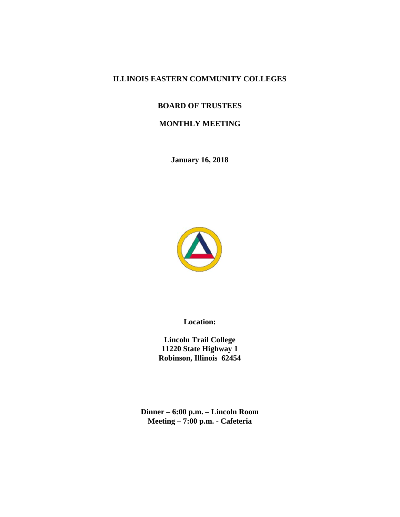# **ILLINOIS EASTERN COMMUNITY COLLEGES**

# **BOARD OF TRUSTEES**

# **MONTHLY MEETING**

**January 16, 2018** 



**Location:** 

**Lincoln Trail College 11220 State Highway 1 Robinson, Illinois 62454** 

**Dinner – 6:00 p.m. – Lincoln Room Meeting – 7:00 p.m. - Cafeteria**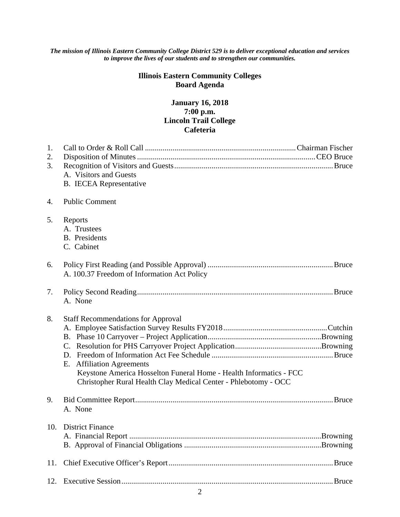#### *The mission of Illinois Eastern Community College District 529 is to deliver exceptional education and services to improve the lives of our students and to strengthen our communities.*

# **Illinois Eastern Community Colleges Board Agenda**

# **January 16, 2018 7:00 p.m. Lincoln Trail College Cafeteria**

| 1.<br>2.<br>3. | A. Visitors and Guests<br><b>B.</b> IECEA Representative                                                                                                                                                        |
|----------------|-----------------------------------------------------------------------------------------------------------------------------------------------------------------------------------------------------------------|
| 4.             | <b>Public Comment</b>                                                                                                                                                                                           |
| 5.             | Reports<br>A. Trustees<br><b>B.</b> Presidents<br>C. Cabinet                                                                                                                                                    |
| 6.             | A. 100.37 Freedom of Information Act Policy                                                                                                                                                                     |
| 7.             | A. None                                                                                                                                                                                                         |
| 8.             | <b>Staff Recommendations for Approval</b><br>E. Affiliation Agreements<br>Keystone America Hosselton Funeral Home - Health Informatics - FCC<br>Christopher Rural Health Clay Medical Center - Phlebotomy - OCC |
| 9.             | A. None                                                                                                                                                                                                         |
|                | 10. District Finance                                                                                                                                                                                            |
| 11.            |                                                                                                                                                                                                                 |
|                |                                                                                                                                                                                                                 |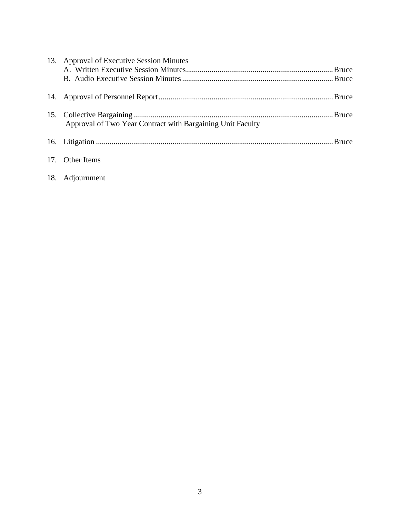| 13. Approval of Executive Session Minutes                  |  |  |  |
|------------------------------------------------------------|--|--|--|
|                                                            |  |  |  |
|                                                            |  |  |  |
|                                                            |  |  |  |
| Approval of Two Year Contract with Bargaining Unit Faculty |  |  |  |
|                                                            |  |  |  |
| 17. Other Items                                            |  |  |  |
| 18. Adjournment                                            |  |  |  |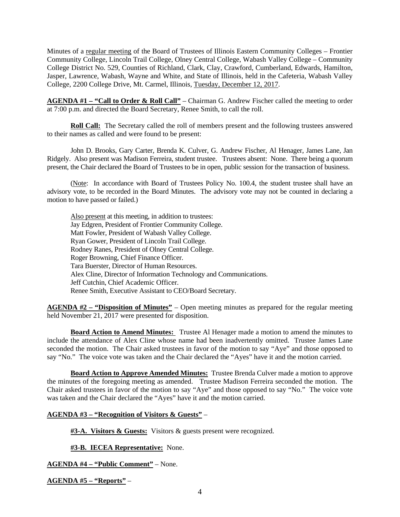Minutes of a regular meeting of the Board of Trustees of Illinois Eastern Community Colleges – Frontier Community College, Lincoln Trail College, Olney Central College, Wabash Valley College – Community College District No. 529, Counties of Richland, Clark, Clay, Crawford, Cumberland, Edwards, Hamilton, Jasper, Lawrence, Wabash, Wayne and White, and State of Illinois, held in the Cafeteria, Wabash Valley College, 2200 College Drive, Mt. Carmel, Illinois, Tuesday, December 12, 2017.

**AGENDA #1 – "Call to Order & Roll Call"** – Chairman G. Andrew Fischer called the meeting to order at 7:00 p.m. and directed the Board Secretary, Renee Smith, to call the roll.

**Roll Call:** The Secretary called the roll of members present and the following trustees answered to their names as called and were found to be present:

 John D. Brooks, Gary Carter, Brenda K. Culver, G. Andrew Fischer, Al Henager, James Lane, Jan Ridgely. Also present was Madison Ferreira, student trustee. Trustees absent: None. There being a quorum present, the Chair declared the Board of Trustees to be in open, public session for the transaction of business.

 (Note: In accordance with Board of Trustees Policy No. 100.4, the student trustee shall have an advisory vote, to be recorded in the Board Minutes. The advisory vote may not be counted in declaring a motion to have passed or failed.)

Also present at this meeting, in addition to trustees: Jay Edgren, President of Frontier Community College. Matt Fowler, President of Wabash Valley College. Ryan Gower, President of Lincoln Trail College. Rodney Ranes, President of Olney Central College. Roger Browning, Chief Finance Officer. Tara Buerster, Director of Human Resources. Alex Cline, Director of Information Technology and Communications. Jeff Cutchin, Chief Academic Officer. Renee Smith, Executive Assistant to CEO/Board Secretary.

**AGENDA #2 – "Disposition of Minutes"** – Open meeting minutes as prepared for the regular meeting held November 21, 2017 were presented for disposition.

**Board Action to Amend Minutes:** Trustee Al Henager made a motion to amend the minutes to include the attendance of Alex Cline whose name had been inadvertently omitted. Trustee James Lane seconded the motion. The Chair asked trustees in favor of the motion to say "Aye" and those opposed to say "No." The voice vote was taken and the Chair declared the "Ayes" have it and the motion carried.

**Board Action to Approve Amended Minutes:** Trustee Brenda Culver made a motion to approve the minutes of the foregoing meeting as amended. Trustee Madison Ferreira seconded the motion. The Chair asked trustees in favor of the motion to say "Aye" and those opposed to say "No." The voice vote was taken and the Chair declared the "Ayes" have it and the motion carried.

#### **AGENDA #3 – "Recognition of Visitors & Guests"** –

**#3-A. Visitors & Guests:** Visitors & guests present were recognized.

**#3-B. IECEA Representative:** None.

**AGENDA #4 – "Public Comment"** – None.

**AGENDA #5 – "Reports"** –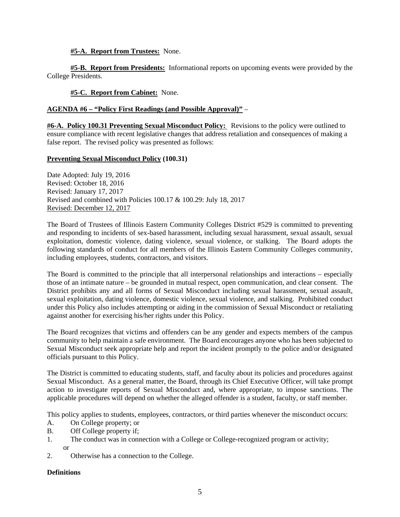#### **#5-A. Report from Trustees:** None.

**#5-B. Report from Presidents:** Informational reports on upcoming events were provided by the College Presidents.

#### **#5-C. Report from Cabinet:** None.

#### **AGENDA #6 – "Policy First Readings (and Possible Approval)"** –

**#6-A. Policy 100.31 Preventing Sexual Misconduct Policy:** Revisions to the policy were outlined to ensure compliance with recent legislative changes that address retaliation and consequences of making a false report. The revised policy was presented as follows:

#### **Preventing Sexual Misconduct Policy (100.31)**

Date Adopted: July 19, 2016 Revised: October 18, 2016 Revised: January 17, 2017 Revised and combined with Policies 100.17 & 100.29: July 18, 2017 Revised: December 12, 2017

The Board of Trustees of Illinois Eastern Community Colleges District #529 is committed to preventing and responding to incidents of sex-based harassment, including sexual harassment, sexual assault, sexual exploitation, domestic violence, dating violence, sexual violence, or stalking. The Board adopts the following standards of conduct for all members of the Illinois Eastern Community Colleges community, including employees, students, contractors, and visitors.

The Board is committed to the principle that all interpersonal relationships and interactions – especially those of an intimate nature – be grounded in mutual respect, open communication, and clear consent. The District prohibits any and all forms of Sexual Misconduct including sexual harassment, sexual assault, sexual exploitation, dating violence, domestic violence, sexual violence, and stalking. Prohibited conduct under this Policy also includes attempting or aiding in the commission of Sexual Misconduct or retaliating against another for exercising his/her rights under this Policy.

The Board recognizes that victims and offenders can be any gender and expects members of the campus community to help maintain a safe environment. The Board encourages anyone who has been subjected to Sexual Misconduct seek appropriate help and report the incident promptly to the police and/or designated officials pursuant to this Policy.

The District is committed to educating students, staff, and faculty about its policies and procedures against Sexual Misconduct. As a general matter, the Board, through its Chief Executive Officer, will take prompt action to investigate reports of Sexual Misconduct and, where appropriate, to impose sanctions. The applicable procedures will depend on whether the alleged offender is a student, faculty, or staff member.

This policy applies to students, employees, contractors, or third parties whenever the misconduct occurs:

- A. On College property; or
- B. Off College property if;
- 1. The conduct was in connection with a College or College-recognized program or activity; or
- 2. Otherwise has a connection to the College.

#### **Definitions**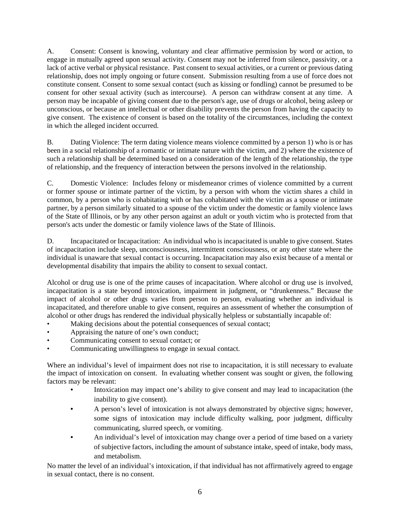A. Consent: Consent is knowing, voluntary and clear affirmative permission by word or action, to engage in mutually agreed upon sexual activity. Consent may not be inferred from silence, passivity, or a lack of active verbal or physical resistance. Past consent to sexual activities, or a current or previous dating relationship, does not imply ongoing or future consent. Submission resulting from a use of force does not constitute consent. Consent to some sexual contact (such as kissing or fondling) cannot be presumed to be consent for other sexual activity (such as intercourse). A person can withdraw consent at any time. A person may be incapable of giving consent due to the person's age, use of drugs or alcohol, being asleep or unconscious, or because an intellectual or other disability prevents the person from having the capacity to give consent. The existence of consent is based on the totality of the circumstances, including the context in which the alleged incident occurred.

B. Dating Violence: The term dating violence means violence committed by a person 1) who is or has been in a social relationship of a romantic or intimate nature with the victim, and 2) where the existence of such a relationship shall be determined based on a consideration of the length of the relationship, the type of relationship, and the frequency of interaction between the persons involved in the relationship.

C. Domestic Violence: Includes felony or misdemeanor crimes of violence committed by a current or former spouse or intimate partner of the victim, by a person with whom the victim shares a child in common, by a person who is cohabitating with or has cohabitated with the victim as a spouse or intimate partner, by a person similarly situated to a spouse of the victim under the domestic or family violence laws of the State of Illinois, or by any other person against an adult or youth victim who is protected from that person's acts under the domestic or family violence laws of the State of Illinois.

D. Incapacitated or Incapacitation: An individual who is incapacitated is unable to give consent. States of incapacitation include sleep, unconsciousness, intermittent consciousness, or any other state where the individual is unaware that sexual contact is occurring. Incapacitation may also exist because of a mental or developmental disability that impairs the ability to consent to sexual contact.

Alcohol or drug use is one of the prime causes of incapacitation. Where alcohol or drug use is involved, incapacitation is a state beyond intoxication, impairment in judgment, or "drunkenness." Because the impact of alcohol or other drugs varies from person to person, evaluating whether an individual is incapacitated, and therefore unable to give consent, requires an assessment of whether the consumption of alcohol or other drugs has rendered the individual physically helpless or substantially incapable of:

- Making decisions about the potential consequences of sexual contact;
- Appraising the nature of one's own conduct;
- Communicating consent to sexual contact; or
- Communicating unwillingness to engage in sexual contact.

Where an individual's level of impairment does not rise to incapacitation, it is still necessary to evaluate the impact of intoxication on consent. In evaluating whether consent was sought or given, the following factors may be relevant:

- Intoxication may impact one's ability to give consent and may lead to incapacitation (the inability to give consent).
- A person's level of intoxication is not always demonstrated by objective signs; however, some signs of intoxication may include difficulty walking, poor judgment, difficulty communicating, slurred speech, or vomiting.
- An individual's level of intoxication may change over a period of time based on a variety of subjective factors, including the amount of substance intake, speed of intake, body mass, and metabolism.

No matter the level of an individual's intoxication, if that individual has not affirmatively agreed to engage in sexual contact, there is no consent.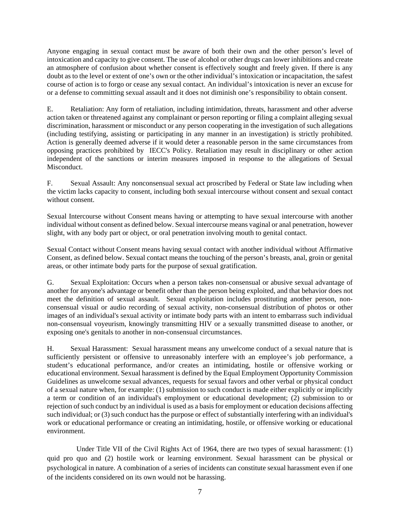Anyone engaging in sexual contact must be aware of both their own and the other person's level of intoxication and capacity to give consent. The use of alcohol or other drugs can lower inhibitions and create an atmosphere of confusion about whether consent is effectively sought and freely given. If there is any doubt as to the level or extent of one's own or the other individual's intoxication or incapacitation, the safest course of action is to forgo or cease any sexual contact. An individual's intoxication is never an excuse for or a defense to committing sexual assault and it does not diminish one's responsibility to obtain consent.

E. Retaliation: Any form of retaliation, including intimidation, threats, harassment and other adverse action taken or threatened against any complainant or person reporting or filing a complaint alleging sexual discrimination, harassment or misconduct or any person cooperating in the investigation of such allegations (including testifying, assisting or participating in any manner in an investigation) is strictly prohibited. Action is generally deemed adverse if it would deter a reasonable person in the same circumstances from opposing practices prohibited by IECC's Policy. Retaliation may result in disciplinary or other action independent of the sanctions or interim measures imposed in response to the allegations of Sexual Misconduct.

F. Sexual Assault: Any nonconsensual sexual act proscribed by Federal or State law including when the victim lacks capacity to consent, including both sexual intercourse without consent and sexual contact without consent.

Sexual Intercourse without Consent means having or attempting to have sexual intercourse with another individual without consent as defined below. Sexual intercourse means vaginal or anal penetration, however slight, with any body part or object, or oral penetration involving mouth to genital contact.

Sexual Contact without Consent means having sexual contact with another individual without Affirmative Consent, as defined below. Sexual contact means the touching of the person's breasts, anal, groin or genital areas, or other intimate body parts for the purpose of sexual gratification.

G. Sexual Exploitation: Occurs when a person takes non-consensual or abusive sexual advantage of another for anyone's advantage or benefit other than the person being exploited, and that behavior does not meet the definition of sexual assault. Sexual exploitation includes prostituting another person, nonconsensual visual or audio recording of sexual activity, non-consensual distribution of photos or other images of an individual's sexual activity or intimate body parts with an intent to embarrass such individual non-consensual voyeurism, knowingly transmitting HIV or a sexually transmitted disease to another, or exposing one's genitals to another in non-consensual circumstances.

H. Sexual Harassment: Sexual harassment means any unwelcome conduct of a sexual nature that is sufficiently persistent or offensive to unreasonably interfere with an employee's job performance, a student's educational performance, and/or creates an intimidating, hostile or offensive working or educational environment. Sexual harassment is defined by the Equal Employment Opportunity Commission Guidelines as unwelcome sexual advances, requests for sexual favors and other verbal or physical conduct of a sexual nature when, for example: (1) submission to such conduct is made either explicitly or implicitly a term or condition of an individual's employment or educational development; (2) submission to or rejection of such conduct by an individual is used as a basis for employment or education decisions affecting such individual; or (3) such conduct has the purpose or effect of substantially interfering with an individual's work or educational performance or creating an intimidating, hostile, or offensive working or educational environment.

 Under Title VII of the Civil Rights Act of 1964, there are two types of sexual harassment: (1) quid pro quo and (2) hostile work or learning environment. Sexual harassment can be physical or psychological in nature. A combination of a series of incidents can constitute sexual harassment even if one of the incidents considered on its own would not be harassing.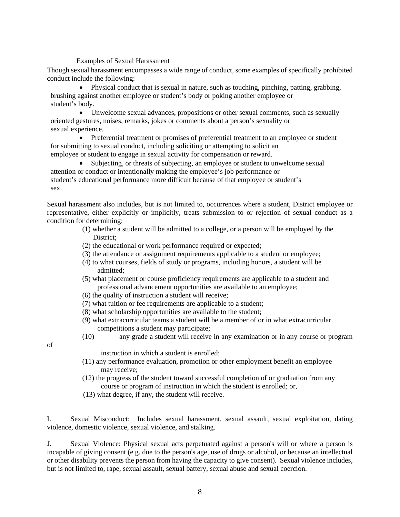#### Examples of Sexual Harassment

Though sexual harassment encompasses a wide range of conduct, some examples of specifically prohibited conduct include the following:

 Physical conduct that is sexual in nature, such as touching, pinching, patting, grabbing, brushing against another employee or student's body or poking another employee or student's body.

 Unwelcome sexual advances, propositions or other sexual comments, such as sexually oriented gestures, noises, remarks, jokes or comments about a person's sexuality or sexual experience.

• Preferential treatment or promises of preferential treatment to an employee or student for submitting to sexual conduct, including soliciting or attempting to solicit an employee or student to engage in sexual activity for compensation or reward.

 Subjecting, or threats of subjecting, an employee or student to unwelcome sexual attention or conduct or intentionally making the employee's job performance or student's educational performance more difficult because of that employee or student's sex.

Sexual harassment also includes, but is not limited to, occurrences where a student, District employee or representative, either explicitly or implicitly, treats submission to or rejection of sexual conduct as a condition for determining:

- (1) whether a student will be admitted to a college, or a person will be employed by the District;
- (2) the educational or work performance required or expected;
- (3) the attendance or assignment requirements applicable to a student or employee;
- (4) to what courses, fields of study or programs, including honors, a student will be admitted;
- (5) what placement or course proficiency requirements are applicable to a student and professional advancement opportunities are available to an employee;
- (6) the quality of instruction a student will receive;
- (7) what tuition or fee requirements are applicable to a student;
- (8) what scholarship opportunities are available to the student;
- (9) what extracurricular teams a student will be a member of or in what extracurricular competitions a student may participate;
- (10) any grade a student will receive in any examination or in any course or program

of

- instruction in which a student is enrolled;
- (11) any performance evaluation, promotion or other employment benefit an employee may receive;
- (12) the progress of the student toward successful completion of or graduation from any course or program of instruction in which the student is enrolled; or,
- (13) what degree, if any, the student will receive.

I. Sexual Misconduct: Includes sexual harassment, sexual assault, sexual exploitation, dating violence, domestic violence, sexual violence, and stalking.

J. Sexual Violence: Physical sexual acts perpetuated against a person's will or where a person is incapable of giving consent (e g. due to the person's age, use of drugs or alcohol, or because an intellectual or other disability prevents the person from having the capacity to give consent). Sexual violence includes, but is not limited to, rape, sexual assault, sexual battery, sexual abuse and sexual coercion.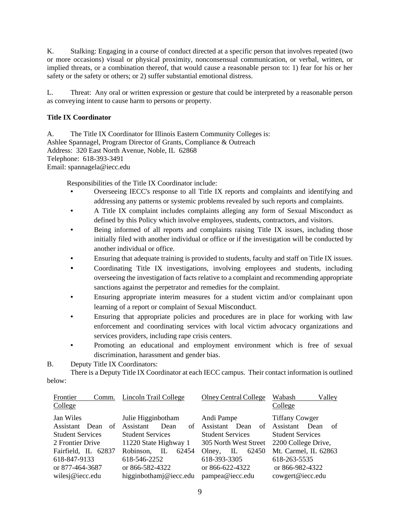K. Stalking: Engaging in a course of conduct directed at a specific person that involves repeated (two or more occasions) visual or physical proximity, nonconsensual communication, or verbal, written, or implied threats, or a combination thereof, that would cause a reasonable person to: 1) fear for his or her safety or the safety or others; or 2) suffer substantial emotional distress.

L. Threat: Any oral or written expression or gesture that could be interpreted by a reasonable person as conveying intent to cause harm to persons or property.

## **Title IX Coordinator**

A. The Title IX Coordinator for Illinois Eastern Community Colleges is: Ashlee Spannagel, Program Director of Grants, Compliance & Outreach Address: 320 East North Avenue, Noble, IL 62868 Telephone: 618-393-3491 Email: spannagela@iecc.edu

Responsibilities of the Title IX Coordinator include:

- Overseeing IECC's response to all Title IX reports and complaints and identifying and addressing any patterns or systemic problems revealed by such reports and complaints.
- A Title IX complaint includes complaints alleging any form of Sexual Misconduct as defined by this Policy which involve employees, students, contractors, and visitors.
- Being informed of all reports and complaints raising Title IX issues, including those initially filed with another individual or office or if the investigation will be conducted by another individual or office.
- Ensuring that adequate training is provided to students, faculty and staff on Title IX issues.
- Coordinating Title IX investigations, involving employees and students, including overseeing the investigation of facts relative to a complaint and recommending appropriate sanctions against the perpetrator and remedies for the complaint.
- Ensuring appropriate interim measures for a student victim and/or complainant upon learning of a report or complaint of Sexual Misconduct.
- Ensuring that appropriate policies and procedures are in place for working with law enforcement and coordinating services with local victim advocacy organizations and services providers, including rape crisis centers.
- Promoting an educational and employment environment which is free of sexual discrimination, harassment and gender bias.

B. Deputy Title IX Coordinators:

 There is a Deputy Title IX Coordinator at each IECC campus. Their contact information is outlined below:

| Frontier<br>Comm.       | Lincoln Trail College    | <b>Olney Central College</b> | Wabash<br>Valley        |
|-------------------------|--------------------------|------------------------------|-------------------------|
| College                 |                          |                              | College                 |
| Jan Wiles               | Julie Higginbotham       | Andi Pampe                   | <b>Tiffany Cowger</b>   |
| Assistant<br>Dean<br>of | Assistant<br>Dean<br>of  | Assistant<br>Dean<br>of      | Assistant<br>Dean<br>of |
| <b>Student Services</b> | <b>Student Services</b>  | <b>Student Services</b>      | <b>Student Services</b> |
| 2 Frontier Drive        | 11220 State Highway 1    | 305 North West Street        | 2200 College Drive,     |
| Fairfield, IL 62837     | Robinson,<br>IL<br>62454 | 62450<br>IL<br>Olney,        | Mt. Carmel, IL 62863    |
| 618-847-9133            | 618-546-2252             | 618-393-3305                 | 618-263-5535            |
| or 877-464-3687         | or 866-582-4322          | or 866-622-4322              | or 866-982-4322         |
| wilesj@iecc.edu         | higginbothamj@iecc.edu   | pampea@iecc.edu              | cowgert@iecc.edu        |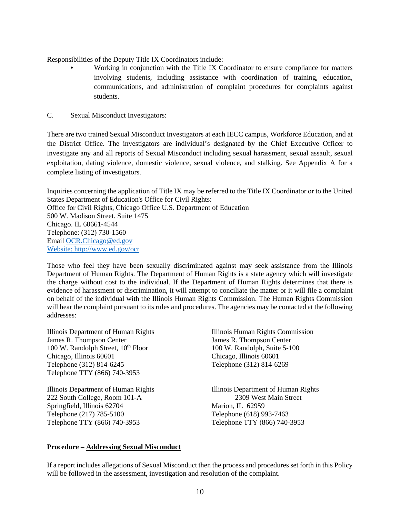Responsibilities of the Deputy Title IX Coordinators include:

- Working in conjunction with the Title IX Coordinator to ensure compliance for matters involving students, including assistance with coordination of training, education, communications, and administration of complaint procedures for complaints against students.
- C. Sexual Misconduct Investigators:

There are two trained Sexual Misconduct Investigators at each IECC campus, Workforce Education, and at the District Office. The investigators are individual's designated by the Chief Executive Officer to investigate any and all reports of Sexual Misconduct including sexual harassment, sexual assault, sexual exploitation, dating violence, domestic violence, sexual violence, and stalking. See Appendix A for a complete listing of investigators.

Inquiries concerning the application of Title IX may be referred to the Title IX Coordinator or to the United States Department of Education's Office for Civil Rights: Office for Civil Rights, Chicago Office U.S. Department of Education 500 W. Madison Street. Suite 1475 Chicago. IL 60661-4544 Telephone: (312) 730-1560 Email OCR.Chicago@ed.gov Website: http://www.ed.gov/ocr

Those who feel they have been sexually discriminated against may seek assistance from the Illinois Department of Human Rights. The Department of Human Rights is a state agency which will investigate the charge without cost to the individual. If the Department of Human Rights determines that there is evidence of harassment or discrimination, it will attempt to conciliate the matter or it will file a complaint on behalf of the individual with the Illinois Human Rights Commission. The Human Rights Commission will hear the complaint pursuant to its rules and procedures. The agencies may be contacted at the following addresses:

Illinois Department of Human Rights Illinois Human Rights Commission James R. Thompson Center James R. Thompson Center 100 W. Randolph Street, 10<sup>th</sup> Floor 100 W. Randolph, Suite 5-100 Chicago, Illinois 60601 Chicago, Illinois 60601 Telephone (312) 814-6245 Telephone (312) 814-6269 Telephone TTY (866) 740-3953

222 South College, Room 101-A 2309 West Main Street Springfield, Illinois 62704 Marion, IL 62959 Telephone (217) 785-5100 Telephone (618) 993-7463 Telephone TTY (866) 740-3953 Telephone TTY (866) 740-3953

Illinois Department of Human Rights Illinois Department of Human Rights

## **Procedure – Addressing Sexual Misconduct**

If a report includes allegations of Sexual Misconduct then the process and procedures set forth in this Policy will be followed in the assessment, investigation and resolution of the complaint.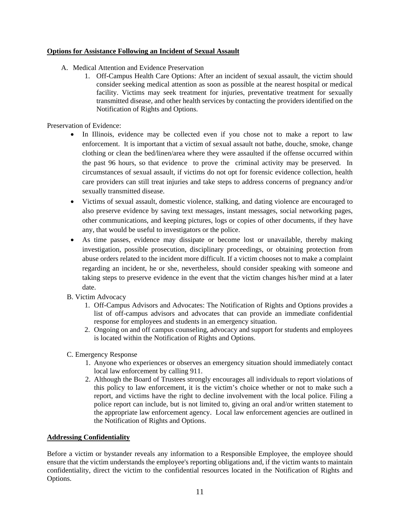### **Options for Assistance Following an Incident of Sexual Assault**

- A. Medical Attention and Evidence Preservation
	- 1. Off-Campus Health Care Options: After an incident of sexual assault, the victim should consider seeking medical attention as soon as possible at the nearest hospital or medical facility. Victims may seek treatment for injuries, preventative treatment for sexually transmitted disease, and other health services by contacting the providers identified on the Notification of Rights and Options.

Preservation of Evidence:

- In Illinois, evidence may be collected even if you chose not to make a report to law enforcement. It is important that a victim of sexual assault not bathe, douche, smoke, change clothing or clean the bed/linen/area where they were assaulted if the offense occurred within the past 96 hours, so that evidence to prove the criminal activity may be preserved. In circumstances of sexual assault, if victims do not opt for forensic evidence collection, health care providers can still treat injuries and take steps to address concerns of pregnancy and/or sexually transmitted disease.
- Victims of sexual assault, domestic violence, stalking, and dating violence are encouraged to also preserve evidence by saving text messages, instant messages, social networking pages, other communications, and keeping pictures, logs or copies of other documents, if they have any, that would be useful to investigators or the police.
- As time passes, evidence may dissipate or become lost or unavailable, thereby making investigation, possible prosecution, disciplinary proceedings, or obtaining protection from abuse orders related to the incident more difficult. If a victim chooses not to make a complaint regarding an incident, he or she, nevertheless, should consider speaking with someone and taking steps to preserve evidence in the event that the victim changes his/her mind at a later date.
- B. Victim Advocacy
	- 1. Off-Campus Advisors and Advocates: The Notification of Rights and Options provides a list of off-campus advisors and advocates that can provide an immediate confidential response for employees and students in an emergency situation.
	- 2. Ongoing on and off campus counseling, advocacy and support for students and employees is located within the Notification of Rights and Options.
- C. Emergency Response
	- 1. Anyone who experiences or observes an emergency situation should immediately contact local law enforcement by calling 911.
	- 2. Although the Board of Trustees strongly encourages all individuals to report violations of this policy to law enforcement, it is the victim's choice whether or not to make such a report, and victims have the right to decline involvement with the local police. Filing a police report can include, but is not limited to, giving an oral and/or written statement to the appropriate law enforcement agency. Local law enforcement agencies are outlined in the Notification of Rights and Options.

#### **Addressing Confidentiality**

Before a victim or bystander reveals any information to a Responsible Employee, the employee should ensure that the victim understands the employee's reporting obligations and, if the victim wants to maintain confidentiality, direct the victim to the confidential resources located in the Notification of Rights and Options.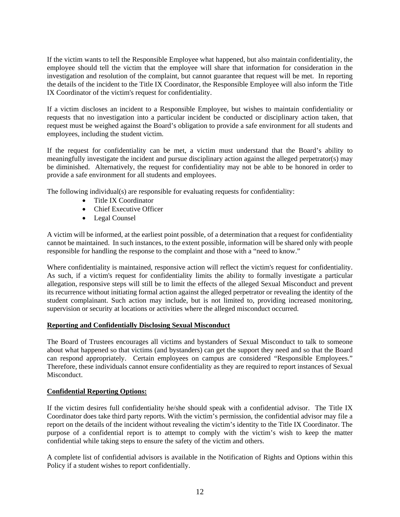If the victim wants to tell the Responsible Employee what happened, but also maintain confidentiality, the employee should tell the victim that the employee will share that information for consideration in the investigation and resolution of the complaint, but cannot guarantee that request will be met. In reporting the details of the incident to the Title IX Coordinator, the Responsible Employee will also inform the Title IX Coordinator of the victim's request for confidentiality.

If a victim discloses an incident to a Responsible Employee, but wishes to maintain confidentiality or requests that no investigation into a particular incident be conducted or disciplinary action taken, that request must be weighed against the Board's obligation to provide a safe environment for all students and employees, including the student victim.

If the request for confidentiality can be met, a victim must understand that the Board's ability to meaningfully investigate the incident and pursue disciplinary action against the alleged perpetrator(s) may be diminished. Alternatively, the request for confidentiality may not be able to be honored in order to provide a safe environment for all students and employees.

The following individual(s) are responsible for evaluating requests for confidentiality:

- Title IX Coordinator
- Chief Executive Officer
- Legal Counsel

A victim will be informed, at the earliest point possible, of a determination that a request for confidentiality cannot be maintained. In such instances, to the extent possible, information will be shared only with people responsible for handling the response to the complaint and those with a "need to know."

Where confidentiality is maintained, responsive action will reflect the victim's request for confidentiality. As such, if a victim's request for confidentiality limits the ability to formally investigate a particular allegation, responsive steps will still be to limit the effects of the alleged Sexual Misconduct and prevent its recurrence without initiating formal action against the alleged perpetrator or revealing the identity of the student complainant. Such action may include, but is not limited to, providing increased monitoring, supervision or security at locations or activities where the alleged misconduct occurred.

#### **Reporting and Confidentially Disclosing Sexual Misconduct**

The Board of Trustees encourages all victims and bystanders of Sexual Misconduct to talk to someone about what happened so that victims (and bystanders) can get the support they need and so that the Board can respond appropriately. Certain employees on campus are considered "Responsible Employees." Therefore, these individuals cannot ensure confidentiality as they are required to report instances of Sexual Misconduct.

#### **Confidential Reporting Options:**

If the victim desires full confidentiality he/she should speak with a confidential advisor. The Title IX Coordinator does take third party reports. With the victim's permission, the confidential advisor may file a report on the details of the incident without revealing the victim's identity to the Title IX Coordinator. The purpose of a confidential report is to attempt to comply with the victim's wish to keep the matter confidential while taking steps to ensure the safety of the victim and others.

A complete list of confidential advisors is available in the Notification of Rights and Options within this Policy if a student wishes to report confidentially.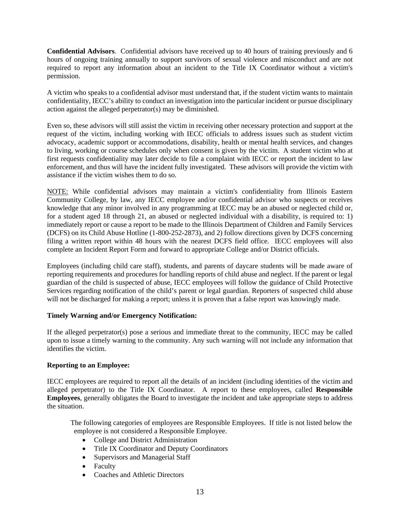**Confidential Advisors**. Confidential advisors have received up to 40 hours of training previously and 6 hours of ongoing training annually to support survivors of sexual violence and misconduct and are not required to report any information about an incident to the Title IX Coordinator without a victim's permission.

A victim who speaks to a confidential advisor must understand that, if the student victim wants to maintain confidentiality, IECC's ability to conduct an investigation into the particular incident or pursue disciplinary action against the alleged perpetrator(s) may be diminished.

Even so, these advisors will still assist the victim in receiving other necessary protection and support at the request of the victim, including working with IECC officials to address issues such as student victim advocacy, academic support or accommodations, disability, health or mental health services, and changes to living, working or course schedules only when consent is given by the victim. A student victim who at first requests confidentiality may later decide to file a complaint with IECC or report the incident to law enforcement, and thus will have the incident fully investigated. These advisors will provide the victim with assistance if the victim wishes them to do so.

NOTE: While confidential advisors may maintain a victim's confidentiality from Illinois Eastern Community College, by law, any IECC employee and/or confidential advisor who suspects or receives knowledge that any minor involved in any programming at IECC may be an abused or neglected child or, for a student aged 18 through 21, an abused or neglected individual with a disability, is required to: 1) immediately report or cause a report to be made to the Illinois Department of Children and Family Services (DCFS) on its Child Abuse Hotline (1-800-252-2873), and 2) follow directions given by DCFS concerning filing a written report within 48 hours with the nearest DCFS field office. IECC employees will also complete an Incident Report Form and forward to appropriate College and/or District officials.

Employees (including child care staff), students, and parents of daycare students will be made aware of reporting requirements and procedures for handling reports of child abuse and neglect. If the parent or legal guardian of the child is suspected of abuse, IECC employees will follow the guidance of Child Protective Services regarding notification of the child's parent or legal guardian. Reporters of suspected child abuse will not be discharged for making a report; unless it is proven that a false report was knowingly made.

#### **Timely Warning and/or Emergency Notification:**

If the alleged perpetrator(s) pose a serious and immediate threat to the community, IECC may be called upon to issue a timely warning to the community. Any such warning will not include any information that identifies the victim.

#### **Reporting to an Employee:**

IECC employees are required to report all the details of an incident (including identities of the victim and alleged perpetrator) to the Title IX Coordinator. A report to these employees, called **Responsible Employees**, generally obligates the Board to investigate the incident and take appropriate steps to address the situation.

 The following categories of employees are Responsible Employees. If title is not listed below the employee is not considered a Responsible Employee.

- College and District Administration
- Title IX Coordinator and Deputy Coordinators
- Supervisors and Managerial Staff
- Faculty
- Coaches and Athletic Directors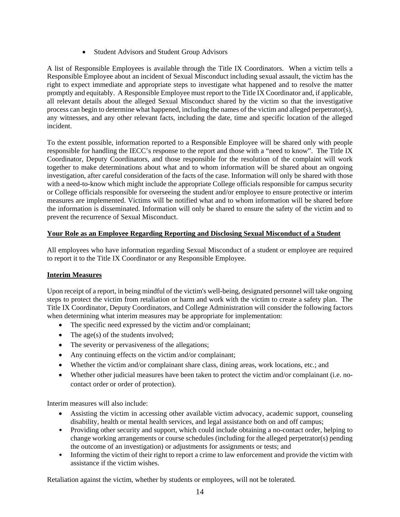• Student Advisors and Student Group Advisors

A list of Responsible Employees is available through the Title IX Coordinators. When a victim tells a Responsible Employee about an incident of Sexual Misconduct including sexual assault, the victim has the right to expect immediate and appropriate steps to investigate what happened and to resolve the matter promptly and equitably. A Responsible Employee must report to the Title IX Coordinator and, if applicable, all relevant details about the alleged Sexual Misconduct shared by the victim so that the investigative process can begin to determine what happened, including the names of the victim and alleged perpetrator(s), any witnesses, and any other relevant facts, including the date, time and specific location of the alleged incident.

To the extent possible, information reported to a Responsible Employee will be shared only with people responsible for handling the IECC's response to the report and those with a "need to know". The Title IX Coordinator, Deputy Coordinators, and those responsible for the resolution of the complaint will work together to make determinations about what and to whom information will be shared about an ongoing investigation, after careful consideration of the facts of the case. Information will only be shared with those with a need-to-know which might include the appropriate College officials responsible for campus security or College officials responsible for overseeing the student and/or employee to ensure protective or interim measures are implemented. Victims will be notified what and to whom information will be shared before the information is disseminated. Information will only be shared to ensure the safety of the victim and to prevent the recurrence of Sexual Misconduct.

# **Your Role as an Employee Regarding Reporting and Disclosing Sexual Misconduct of a Student**

All employees who have information regarding Sexual Misconduct of a student or employee are required to report it to the Title IX Coordinator or any Responsible Employee.

## **Interim Measures**

Upon receipt of a report, in being mindful of the victim's well-being, designated personnel will take ongoing steps to protect the victim from retaliation or harm and work with the victim to create a safety plan. The Title IX Coordinator, Deputy Coordinators, and College Administration will consider the following factors when determining what interim measures may be appropriate for implementation:

- The specific need expressed by the victim and/or complainant;
- $\bullet$  The age(s) of the students involved;
- The severity or pervasiveness of the allegations;
- Any continuing effects on the victim and/or complainant;
- Whether the victim and/or complainant share class, dining areas, work locations, etc.; and
- Whether other judicial measures have been taken to protect the victim and/or complainant (i.e. nocontact order or order of protection).

Interim measures will also include:

- Assisting the victim in accessing other available victim advocacy, academic support, counseling disability, health or mental health services, and legal assistance both on and off campus;
- Providing other security and support, which could include obtaining a no-contact order, helping to change working arrangements or course schedules (including for the alleged perpetrator(s) pending the outcome of an investigation) or adjustments for assignments or tests; and
- Informing the victim of their right to report a crime to law enforcement and provide the victim with assistance if the victim wishes.

Retaliation against the victim, whether by students or employees, will not be tolerated.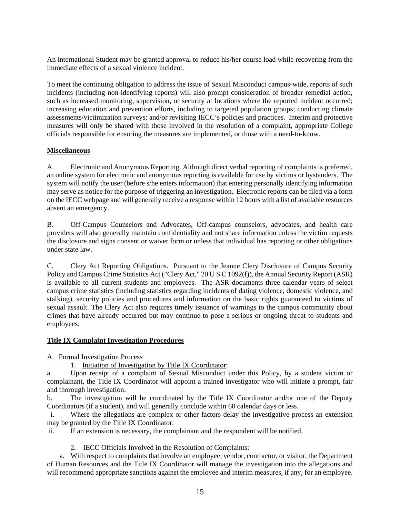An international Student may be granted approval to reduce his/her course load while recovering from the immediate effects of a sexual violence incident.

To meet the continuing obligation to address the issue of Sexual Misconduct campus-wide, reports of such incidents (including non-identifying reports) will also prompt consideration of broader remedial action, such as increased monitoring, supervision, or security at locations where the reported incident occurred; increasing education and prevention efforts, including to targeted population groups; conducting climate assessments/victimization surveys; and/or revisiting IECC's policies and practices. Interim and protective measures will only be shared with those involved in the resolution of a complaint, appropriate College officials responsible for ensuring the measures are implemented, or those with a need-to-know.

### **Miscellaneous**

A. Electronic and Anonymous Reporting. Although direct verbal reporting of complaints is preferred, an online system for electronic and anonymous reporting is available for use by victims or bystanders. The system will notify the user (before s/he enters information) that entering personally identifying information may serve as notice for the purpose of triggering an investigation. Electronic reports can be filed via a form on the IECC webpage and will generally receive a response within 12 hours with a list of available resources absent an emergency.

B. Off-Campus Counselors and Advocates, Off-campus counselors, advocates, and health care providers will also generally maintain confidentiality and not share information unless the victim requests the disclosure and signs consent or waiver form or unless that individual has reporting or other obligations under state law.

C. Clery Act Reporting Obligations. Pursuant to the Jeanne Clery Disclosure of Campus Security Policy and Campus Crime Statistics Act ("Clery Act," 20 U S C 1092(f)), the Annual Security Report (ASR) is available to all current students and employees. The ASR documents three calendar years of select campus crime statistics (including statistics regarding incidents of dating violence, domestic violence, and stalking), security policies and procedures and information on the basic rights guaranteed to victims of sexual assault. The Clery Act also requires timely issuance of warnings to the campus community about crimes that have already occurred but may continue to pose a serious or ongoing threat to students and employees.

#### **Title IX Complaint Investigation Procedures**

A. Formal Investigation Process

1. Initiation of Investigation by Title IX Coordinator:

a. Upon receipt of a complaint of Sexual Misconduct under this Policy, by a student victim or complainant, the Title IX Coordinator will appoint a trained investigator who will initiate a prompt, fair and thorough investigation.

b. The investigation will be coordinated by the Title IX Coordinator and/or one of the Deputy Coordinators (if a student), and will generally conclude within 60 calendar days or less.

 i. Where the allegations are complex or other factors delay the investigative process an extension may be granted by the Title IX Coordinator.

ii. If an extension is necessary, the complainant and the respondent will be notified.

2. IECC Officials Involved in the Resolution of Complaints:

 a. With respect to complaints that involve an employee, vendor, contractor, or visitor, the Department of Human Resources and the Title IX Coordinator will manage the investigation into the allegations and will recommend appropriate sanctions against the employee and interim measures, if any, for an employee.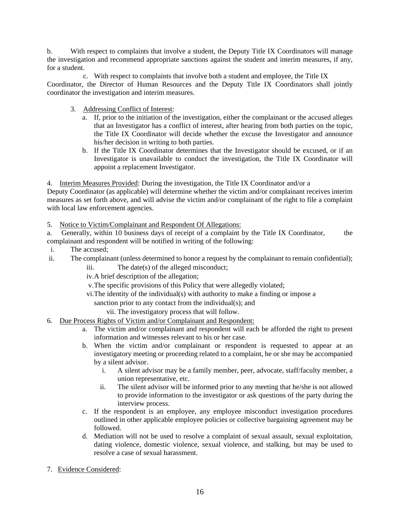b. With respect to complaints that involve a student, the Deputy Title IX Coordinators will manage the investigation and recommend appropriate sanctions against the student and interim measures, if any, for a student.

 c. With respect to complaints that involve both a student and employee, the Title IX Coordinator, the Director of Human Resources and the Deputy Title IX Coordinators shall jointly coordinator the investigation and interim measures.

- 3. Addressing Conflict of Interest:
	- a. If, prior to the initiation of the investigation, either the complainant or the accused alleges that an Investigator has a conflict of interest, after hearing from both parties on the topic, the Title IX Coordinator will decide whether the excuse the Investigator and announce his/her decision in writing to both parties.
	- b. If the Title IX Coordinator determines that the Investigator should be excused, or if an Investigator is unavailable to conduct the investigation, the Title IX Coordinator will appoint a replacement Investigator.

4. Interim Measures Provided: During the investigation, the Title IX Coordinator and/or a

Deputy Coordinator (as applicable) will determine whether the victim and/or complainant receives interim measures as set forth above, and will advise the victim and/or complainant of the right to file a complaint with local law enforcement agencies.

5. Notice to Victim/Complainant and Respondent Of Allegations:

a. Generally, within 10 business days of receipt of a complaint by the Title IX Coordinator, the complainant and respondent will be notified in writing of the following:

- i. The accused;
- ii. The complainant (unless determined to honor a request by the complainant to remain confidential);
	- iii. The date(s) of the alleged misconduct;
	- iv. A brief description of the allegation;
	- v. The specific provisions of this Policy that were allegedly violated;
	- vi. The identity of the individual(s) with authority to make a finding or impose a
		- sanction prior to any contact from the individual(s); and

vii. The investigatory process that will follow.

## 6. Due Process Rights of Victim and/or Complainant and Respondent:

- a. The victim and/or complainant and respondent will each be afforded the right to present information and witnesses relevant to his or her case.
- b. When the victim and/or complainant or respondent is requested to appear at an investigatory meeting or proceeding related to a complaint, he or she may be accompanied by a silent advisor.
	- i. A silent advisor may be a family member, peer, advocate, staff/faculty member, a union representative, etc.
	- ii. The silent advisor will be informed prior to any meeting that he/she is not allowed to provide information to the investigator or ask questions of the party during the interview process.
- c. If the respondent is an employee, any employee misconduct investigation procedures outlined in other applicable employee policies or collective bargaining agreement may be followed.
- d. Mediation will not be used to resolve a complaint of sexual assault, sexual exploitation, dating violence, domestic violence, sexual violence, and stalking, but may be used to resolve a case of sexual harassment.
- 7. Evidence Considered: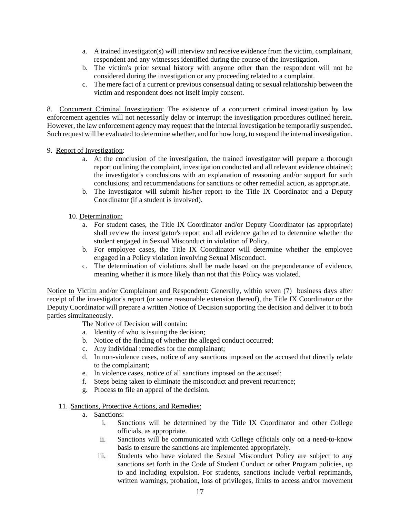- a. A trained investigator(s) will interview and receive evidence from the victim, complainant, respondent and any witnesses identified during the course of the investigation.
- b. The victim's prior sexual history with anyone other than the respondent will not be considered during the investigation or any proceeding related to a complaint.
- c. The mere fact of a current or previous consensual dating or sexual relationship between the victim and respondent does not itself imply consent.

8. Concurrent Criminal Investigation: The existence of a concurrent criminal investigation by law enforcement agencies will not necessarily delay or interrupt the investigation procedures outlined herein. However, the law enforcement agency may request that the internal investigation be temporarily suspended. Such request will be evaluated to determine whether, and for how long, to suspend the internal investigation.

#### 9. Report of Investigation:

- a. At the conclusion of the investigation, the trained investigator will prepare a thorough report outlining the complaint, investigation conducted and all relevant evidence obtained; the investigator's conclusions with an explanation of reasoning and/or support for such conclusions; and recommendations for sanctions or other remedial action, as appropriate.
- b. The investigator will submit his/her report to the Title IX Coordinator and a Deputy Coordinator (if a student is involved).

### 10. Determination:

- a. For student cases, the Title IX Coordinator and/or Deputy Coordinator (as appropriate) shall review the investigator's report and all evidence gathered to determine whether the student engaged in Sexual Misconduct in violation of Policy.
- b. For employee cases, the Title IX Coordinator will determine whether the employee engaged in a Policy violation involving Sexual Misconduct.
- c. The determination of violations shall be made based on the preponderance of evidence, meaning whether it is more likely than not that this Policy was violated.

Notice to Victim and/or Complainant and Respondent: Generally, within seven (7) business days after receipt of the investigator's report (or some reasonable extension thereof), the Title IX Coordinator or the Deputy Coordinator will prepare a written Notice of Decision supporting the decision and deliver it to both parties simultaneously.

The Notice of Decision will contain:

- a. Identity of who is issuing the decision;
- b. Notice of the finding of whether the alleged conduct occurred;
- c. Any individual remedies for the complainant;
- d. In non-violence cases, notice of any sanctions imposed on the accused that directly relate to the complainant;
- e. In violence cases, notice of all sanctions imposed on the accused;
- f. Steps being taken to eliminate the misconduct and prevent recurrence;
- g. Process to file an appeal of the decision.

#### 11. Sanctions, Protective Actions, and Remedies:

- a. Sanctions:
	- i. Sanctions will be determined by the Title IX Coordinator and other College officials, as appropriate.
	- ii. Sanctions will be communicated with College officials only on a need-to-know basis to ensure the sanctions are implemented appropriately.
	- iii. Students who have violated the Sexual Misconduct Policy are subject to any sanctions set forth in the Code of Student Conduct or other Program policies, up to and including expulsion. For students, sanctions include verbal reprimands, written warnings, probation, loss of privileges, limits to access and/or movement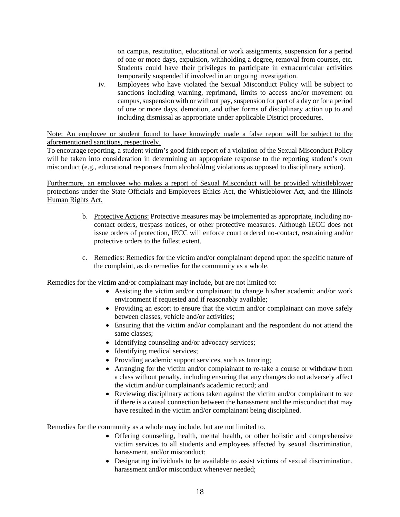on campus, restitution, educational or work assignments, suspension for a period of one or more days, expulsion, withholding a degree, removal from courses, etc. Students could have their privileges to participate in extracurricular activities temporarily suspended if involved in an ongoing investigation.

iv. Employees who have violated the Sexual Misconduct Policy will be subject to sanctions including warning, reprimand, limits to access and/or movement on campus, suspension with or without pay, suspension for part of a day or for a period of one or more days, demotion, and other forms of disciplinary action up to and including dismissal as appropriate under applicable District procedures.

Note: An employee or student found to have knowingly made a false report will be subject to the aforementioned sanctions, respectively.

To encourage reporting, a student victim's good faith report of a violation of the Sexual Misconduct Policy will be taken into consideration in determining an appropriate response to the reporting student's own misconduct (e.g., educational responses from alcohol/drug violations as opposed to disciplinary action).

Furthermore, an employee who makes a report of Sexual Misconduct will be provided whistleblower protections under the State Officials and Employees Ethics Act, the Whistleblower Act, and the Illinois Human Rights Act.

- b. Protective Actions: Protective measures may be implemented as appropriate, including nocontact orders, trespass notices, or other protective measures. Although IECC does not issue orders of protection, IECC will enforce court ordered no-contact, restraining and/or protective orders to the fullest extent.
- c. Remedies: Remedies for the victim and/or complainant depend upon the specific nature of the complaint, as do remedies for the community as a whole.

Remedies for the victim and/or complainant may include, but are not limited to:

- Assisting the victim and/or complainant to change his/her academic and/or work environment if requested and if reasonably available;
- Providing an escort to ensure that the victim and/or complainant can move safely between classes, vehicle and/or activities;
- Ensuring that the victim and/or complainant and the respondent do not attend the same classes;
- Identifying counseling and/or advocacy services;
- Identifying medical services;
- Providing academic support services, such as tutoring;
- Arranging for the victim and/or complainant to re-take a course or withdraw from a class without penalty, including ensuring that any changes do not adversely affect the victim and/or complainant's academic record; and
- Reviewing disciplinary actions taken against the victim and/or complainant to see if there is a causal connection between the harassment and the misconduct that may have resulted in the victim and/or complainant being disciplined.

Remedies for the community as a whole may include, but are not limited to.

- Offering counseling, health, mental health, or other holistic and comprehensive victim services to all students and employees affected by sexual discrimination, harassment, and/or misconduct;
- Designating individuals to be available to assist victims of sexual discrimination, harassment and/or misconduct whenever needed: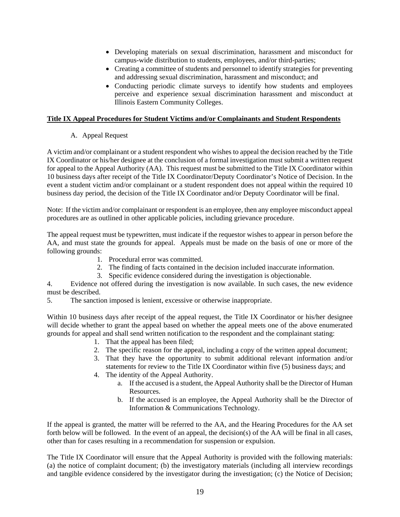- Developing materials on sexual discrimination, harassment and misconduct for campus-wide distribution to students, employees, and/or third-parties;
- Creating a committee of students and personnel to identify strategies for preventing and addressing sexual discrimination, harassment and misconduct; and
- Conducting periodic climate surveys to identify how students and employees perceive and experience sexual discrimination harassment and misconduct at Illinois Eastern Community Colleges.

### **Title IX Appeal Procedures for Student Victims and/or Complainants and Student Respondents**

## A. Appeal Request

A victim and/or complainant or a student respondent who wishes to appeal the decision reached by the Title IX Coordinator or his/her designee at the conclusion of a formal investigation must submit a written request for appeal to the Appeal Authority (AA). This request must be submitted to the Title IX Coordinator within 10 business days after receipt of the Title IX Coordinator/Deputy Coordinator's Notice of Decision. In the event a student victim and/or complainant or a student respondent does not appeal within the required 10 business day period, the decision of the Title IX Coordinator and/or Deputy Coordinator will be final.

Note: If the victim and/or complainant or respondent is an employee, then any employee misconduct appeal procedures are as outlined in other applicable policies, including grievance procedure.

The appeal request must be typewritten, must indicate if the requestor wishes to appear in person before the AA, and must state the grounds for appeal. Appeals must be made on the basis of one or more of the following grounds:

- 1. Procedural error was committed.
- 2. The finding of facts contained in the decision included inaccurate information.
- 3. Specific evidence considered during the investigation is objectionable.

4. Evidence not offered during the investigation is now available. In such cases, the new evidence must be described.

5. The sanction imposed is lenient, excessive or otherwise inappropriate.

Within 10 business days after receipt of the appeal request, the Title IX Coordinator or his/her designee will decide whether to grant the appeal based on whether the appeal meets one of the above enumerated grounds for appeal and shall send written notification to the respondent and the complainant stating:

- 1. That the appeal has been filed;
- 2. The specific reason for the appeal, including a copy of the written appeal document;
- 3. That they have the opportunity to submit additional relevant information and/or statements for review to the Title IX Coordinator within five (5) business days; and
- 4. The identity of the Appeal Authority.
	- a. If the accused is a student, the Appeal Authority shall be the Director of Human Resources.
	- b. If the accused is an employee, the Appeal Authority shall be the Director of Information & Communications Technology.

If the appeal is granted, the matter will be referred to the AA, and the Hearing Procedures for the AA set forth below will be followed. In the event of an appeal, the decision(s) of the AA will be final in all cases, other than for cases resulting in a recommendation for suspension or expulsion.

The Title IX Coordinator will ensure that the Appeal Authority is provided with the following materials: (a) the notice of complaint document; (b) the investigatory materials (including all interview recordings and tangible evidence considered by the investigator during the investigation; (c) the Notice of Decision;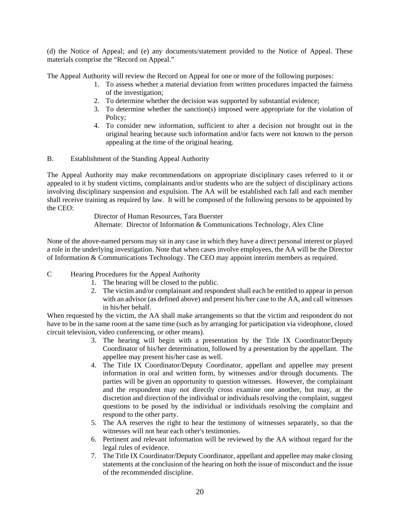(d) the Notice of Appeal; and (e) any documents/statement provided to the Notice of Appeal. These materials comprise the "Record on Appeal."

The Appeal Authority will review the Record on Appeal for one or more of the following purposes:

- 1. To assess whether a material deviation from written procedures impacted the fairness of the investigation;
- 2. To determine whether the decision was supported by substantial evidence;
- 3. To determine whether the sanction(s) imposed were appropriate for the violation of Policy;
- 4. To consider new information, sufficient to alter a decision not brought out in the original hearing because such information and/or facts were not known to the person appealing at the time of the original hearing.
- B. Establishment of the Standing Appeal Authority

The Appeal Authority may make recommendations on appropriate disciplinary cases referred to it or appealed to it by student victims, complainants and/or students who are the subject of disciplinary actions involving disciplinary suspension and expulsion. The AA will be established each fall and each member shall receive training as required by law. It will be composed of the following persons to be appointed by the CEO:

 Director of Human Resources, Tara Buerster Alternate: Director of Information & Communications Technology, Alex Cline

None of the above-named persons may sit in any case in which they have a direct personal interest or played a role in the underlying investigation. Note that when cases involve employees, the AA will be the Director of Information & Communications Technology. The CEO may appoint interim members as required.

- C Hearing Procedures for the Appeal Authority
	- 1. The hearing will be closed to the public.
	- 2. The victim and/or complainant and respondent shall each be entitled to appear in person with an advisor (as defined above) and present his/her case to the AA, and call witnesses in his/her behalf.

When requested by the victim, the AA shall make arrangements so that the victim and respondent do not have to be in the same room at the same time (such as by arranging for participation via videophone, closed circuit television, video conferencing, or other means).

- 3. The hearing will begin with a presentation by the Title IX Coordinator/Deputy Coordinator of his/her determination, followed by a presentation by the appellant. The appellee may present his/her case as well.
- 4. The Title IX Coordinator/Deputy Coordinator, appellant and appellee may present information in oral and written form, by witnesses and/or through documents. The parties will be given an opportunity to question witnesses. However, the complainant and the respondent may not directly cross examine one another, but may, at the discretion and direction of the individual or individuals resolving the complaint, suggest questions to be posed by the individual or individuals resolving the complaint and respond to the other party.
- 5. The AA reserves the right to hear the testimony of witnesses separately, so that the witnesses will not hear each other's testimonies.
- 6. Pertinent and relevant information will be reviewed by the AA without regard for the legal rules of evidence.
- 7. The Title IX Coordinator/Deputy Coordinator, appellant and appellee may make closing statements at the conclusion of the hearing on both the issue of misconduct and the issue of the recommended discipline.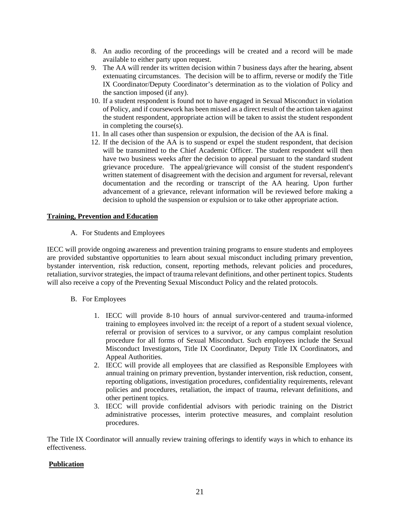- 8. An audio recording of the proceedings will be created and a record will be made available to either party upon request.
- 9. The AA will render its written decision within 7 business days after the hearing, absent extenuating circumstances. The decision will be to affirm, reverse or modify the Title IX Coordinator/Deputy Coordinator's determination as to the violation of Policy and the sanction imposed (if any).
- 10. If a student respondent is found not to have engaged in Sexual Misconduct in violation of Policy, and if coursework has been missed as a direct result of the action taken against the student respondent, appropriate action will be taken to assist the student respondent in completing the course(s).
- 11. In all cases other than suspension or expulsion, the decision of the AA is final.
- 12. If the decision of the AA is to suspend or expel the student respondent, that decision will be transmitted to the Chief Academic Officer. The student respondent will then have two business weeks after the decision to appeal pursuant to the standard student grievance procedure. The appeal/grievance will consist of the student respondent's written statement of disagreement with the decision and argument for reversal, relevant documentation and the recording or transcript of the AA hearing. Upon further advancement of a grievance, relevant information will be reviewed before making a decision to uphold the suspension or expulsion or to take other appropriate action.

### **Training, Prevention and Education**

A. For Students and Employees

IECC will provide ongoing awareness and prevention training programs to ensure students and employees are provided substantive opportunities to learn about sexual misconduct including primary prevention, bystander intervention, risk reduction, consent, reporting methods, relevant policies and procedures, retaliation, survivor strategies, the impact of trauma relevant definitions, and other pertinent topics. Students will also receive a copy of the Preventing Sexual Misconduct Policy and the related protocols.

- B. For Employees
	- 1. IECC will provide 8-10 hours of annual survivor-centered and trauma-informed training to employees involved in: the receipt of a report of a student sexual violence, referral or provision of services to a survivor, or any campus complaint resolution procedure for all forms of Sexual Misconduct. Such employees include the Sexual Misconduct Investigators, Title IX Coordinator, Deputy Title IX Coordinators, and Appeal Authorities.
	- 2. IECC will provide all employees that are classified as Responsible Employees with annual training on primary prevention, bystander intervention, risk reduction, consent, reporting obligations, investigation procedures, confidentiality requirements, relevant policies and procedures, retaliation, the impact of trauma, relevant definitions, and other pertinent topics.
	- 3. IECC will provide confidential advisors with periodic training on the District administrative processes, interim protective measures, and complaint resolution procedures.

The Title IX Coordinator will annually review training offerings to identify ways in which to enhance its effectiveness.

#### **Publication**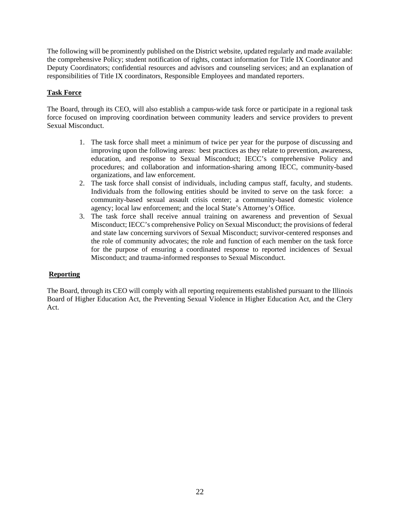The following will be prominently published on the District website, updated regularly and made available: the comprehensive Policy; student notification of rights, contact information for Title IX Coordinator and Deputy Coordinators; confidential resources and advisors and counseling services; and an explanation of responsibilities of Title IX coordinators, Responsible Employees and mandated reporters.

### **Task Force**

The Board, through its CEO, will also establish a campus-wide task force or participate in a regional task force focused on improving coordination between community leaders and service providers to prevent Sexual Misconduct.

- 1. The task force shall meet a minimum of twice per year for the purpose of discussing and improving upon the following areas: best practices as they relate to prevention, awareness, education, and response to Sexual Misconduct; IECC's comprehensive Policy and procedures; and collaboration and information-sharing among IECC, community-based organizations, and law enforcement.
- 2. The task force shall consist of individuals, including campus staff, faculty, and students. Individuals from the following entities should be invited to serve on the task force: a community-based sexual assault crisis center; a community-based domestic violence agency; local law enforcement; and the local State's Attorney's Office.
- 3. The task force shall receive annual training on awareness and prevention of Sexual Misconduct; IECC's comprehensive Policy on Sexual Misconduct; the provisions of federal and state law concerning survivors of Sexual Misconduct; survivor-centered responses and the role of community advocates; the role and function of each member on the task force for the purpose of ensuring a coordinated response to reported incidences of Sexual Misconduct; and trauma-informed responses to Sexual Misconduct.

#### **Reporting**

The Board, through its CEO will comply with all reporting requirements established pursuant to the Illinois Board of Higher Education Act, the Preventing Sexual Violence in Higher Education Act, and the Clery Act.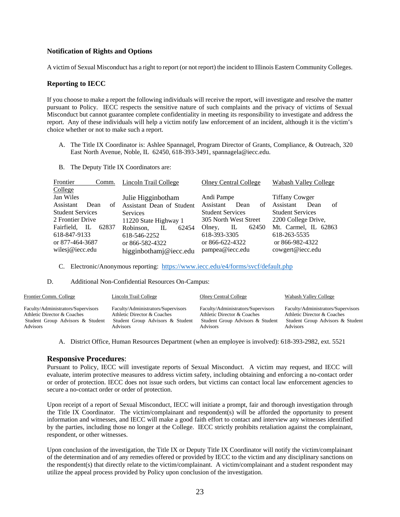#### **Notification of Rights and Options**

A victim of Sexual Misconduct has a right to report (or not report) the incident to Illinois Eastern Community Colleges.

#### **Reporting to IECC**

If you choose to make a report the following individuals will receive the report, will investigate and resolve the matter pursuant to Policy. IECC respects the sensitive nature of such complaints and the privacy of victims of Sexual Misconduct but cannot guarantee complete confidentiality in meeting its responsibility to investigate and address the report. Any of these individuals will help a victim notify law enforcement of an incident, although it is the victim's choice whether or not to make such a report.

- A. The Title IX Coordinator is: Ashlee Spannagel, Program Director of Grants, Compliance, & Outreach, 320 East North Avenue, Noble, IL 62450, 618-393-3491, spannagela@iecc.edu.
- B. The Deputy Title IX Coordinators are:

| Frontier<br>Comm.       | Lincoln Trail College              | <b>Olney Central College</b> | Wabash Valley College   |
|-------------------------|------------------------------------|------------------------------|-------------------------|
| College                 |                                    |                              |                         |
| Jan Wiles               | Julie Higginbotham                 | Andi Pampe                   | <b>Tiffany Cowger</b>   |
| Assistant<br>Dean<br>of | Assistant Dean of Student          | Assistant<br>Dean<br>of      | Assistant<br>Dean<br>of |
| <b>Student Services</b> | <b>Services</b>                    | <b>Student Services</b>      | <b>Student Services</b> |
| 2 Frontier Drive        | 11220 State Highway 1              | 305 North West Street        | 2200 College Drive,     |
| Fairfield, IL<br>62837  | Robinson.<br>$\mathbf{L}$<br>62454 | 62450<br>Olney,<br>IL        | Mt. Carmel, IL 62863    |
| 618-847-9133            | 618-546-2252                       | 618-393-3305                 | 618-263-5535            |
| or 877-464-3687         | or 866-582-4322                    | or 866-622-4322              | or 866-982-4322         |
| wilesj@iecc.edu         | higginbothamj@iecc.edu             | pampea@iecc.edu              | cowgert@iecc.edu        |

#### C. Electronic/Anonymous reporting: https://www.iecc.edu/e4/forms/svcf/default.php

#### D. Additional Non-Confidential Resources On-Campus:

| Frontier Comm. College                                                                                | Lincoln Trail College                                                                                 | <b>Olney Central College</b>                                                                          | Wabash Valley College                                                                                 |
|-------------------------------------------------------------------------------------------------------|-------------------------------------------------------------------------------------------------------|-------------------------------------------------------------------------------------------------------|-------------------------------------------------------------------------------------------------------|
| Faculty/Administrators/Supervisors<br>Athletic Director & Coaches<br>Student Group Advisors & Student | Faculty/Administrators/Supervisors<br>Athletic Director & Coaches<br>Student Group Advisors & Student | Faculty/Administrators/Supervisors<br>Athletic Director & Coaches<br>Student Group Advisors & Student | Faculty/Administrators/Supervisors<br>Athletic Director & Coaches<br>Student Group Advisors & Student |
| Advisors                                                                                              | Advisors                                                                                              | Advisors                                                                                              | Advisors                                                                                              |

A. District Office, Human Resources Department (when an employee is involved): 618-393-2982, ext. 5521

#### **Responsive Procedures**:

Pursuant to Policy, IECC will investigate reports of Sexual Misconduct. A victim may request, and IECC will evaluate, interim protective measures to address victim safety, including obtaining and enforcing a no-contact order or order of protection. IECC does not issue such orders, but victims can contact local law enforcement agencies to secure a no-contact order or order of protection.

Upon receipt of a report of Sexual Misconduct, IECC will initiate a prompt, fair and thorough investigation through the Title IX Coordinator. The victim/complainant and respondent(s) will be afforded the opportunity to present information and witnesses, and IECC will make a good faith effort to contact and interview any witnesses identified by the parties, including those no longer at the College. IECC strictly prohibits retaliation against the complainant, respondent, or other witnesses.

Upon conclusion of the investigation, the Title IX or Deputy Title IX Coordinator will notify the victim/complainant of the determination and of any remedies offered or provided by IECC to the victim and any disciplinary sanctions on the respondent(s) that directly relate to the victim/complainant. A victim/complainant and a student respondent may utilize the appeal process provided by Policy upon conclusion of the investigation.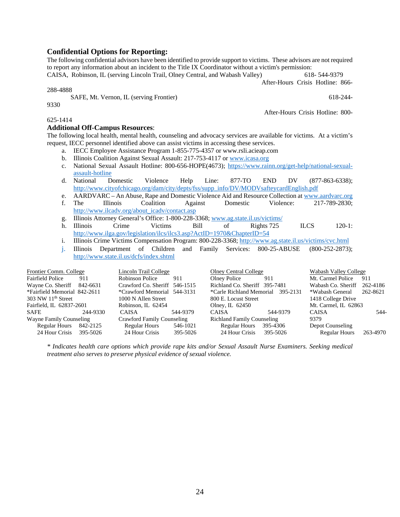## **Confidential Options for Reporting:**

The following confidential advisors have been identified to provide support to victims. These advisors are not required to report any information about an incident to the Title IX Coordinator without a victim's permission:

CAISA, Robinson, IL (serving Lincoln Trail, Olney Central, and Wabash Valley) 618- 544-9379

After-Hours Crisis Hotline: 866-

288-4888

9330

SAFE, Mt. Vernon, IL (serving Frontier) 618-244-

After-Hours Crisis Hotline: 800-

#### 625-1414

#### **Additional Off-Campus Resources**:

The following local health, mental health, counseling and advocacy services are available for victims. At a victim's request, IECC personnel identified above can assist victims in accessing these services.

- a. IECC Employee Assistance Program 1-855-775-4357 or www.rsli.acieap.com
- b. Illinois Coalition Against Sexual Assault: 217-753-4117 or www.icasa.org
- c. National Sexual Assault Hotline: 800-656-HOPE(4673); https://www.rainn.org/get-help/national-sexualassault-hotline
- d. National Domestic Violence Help Line: 877-TO END DV (877-863-6338); http://www.cityofchicago.org/dam/city/depts/fss/supp\_info/DV/MODVsafteycardEnglish.pdf
- e. AARDVARC An Abuse, Rape and Domestic Violence Aid and Resource Collection at www.aardvarc.org
- f. The Illinois Coalition Against Domestic Violence: 217-789-2830; http://www.ilcadv.org/about\_icadv/contact.asp
- g. Illinois Attorney General's Office: 1-800-228-3368; www.ag.state.il.us/victims/
- h. Illinois Crime Victims Bill of Rights 725 ILCS 120-1: http://www.ilga.gov/legislation/ilcs/ilcs3.asp?ActID=1970&ChapterID=54
- i. Illinois Crime Victims Compensation Program: 800-228-3368; http://www.ag.state.il.us/victims/cvc.html
- j. Illinois Department of Children and Family Services: 800-25-ABUSE (800-252-2873); http://www.state.il.us/dcfs/index.shtml

| Frontier Comm. College       |          | Lincoln Trail College         |          | <b>Olney Central College</b>      |          | Wabash Valley College |          |
|------------------------------|----------|-------------------------------|----------|-----------------------------------|----------|-----------------------|----------|
| <b>Fairfield Police</b>      | 911      | Robinson Police               | 911      | Olney Police                      | 911      | Mt. Carmel Police     | 911      |
| Wayne Co. Sheriff            | 842-6631 | Crawford Co. Sheriff 546-1515 |          | Richland Co. Sheriff 395-7481     |          | Wabash Co. Sheriff    | 262-4186 |
| *Fairfield Memorial 842-2611 |          | *Crawford Memorial 544-3131   |          | *Carle Richland Memorial 395-2131 |          | *Wabash General       | 262-8621 |
| $303$ NW $11th$ Street       |          | 1000 N Allen Street           |          | 800 E. Locust Street              |          | 1418 College Drive    |          |
| Fairfield, IL 62837-2601     |          | Robinson, IL 62454            |          | Olney, IL $62450$                 |          | Mt. Carmel. IL 62863  |          |
| SAFE                         | 244-9330 | CAISA                         | 544-9379 | <b>CAISA</b>                      | 544-9379 | <b>CAISA</b>          | 544-     |
| Wayne Family Counseling      |          | Crawford Family Counseling    |          | <b>Richland Family Counseling</b> |          | 9379                  |          |
| Regular Hours 842-2125       |          | Regular Hours                 | 546-1021 | Regular Hours                     | 395-4306 | Depot Counseling      |          |
| 24 Hour Crisis               | 395-5026 | 24 Hour Crisis                | 395-5026 | 24 Hour Crisis 395-5026           |          | <b>Regular Hours</b>  | 263-4970 |

*\* Indicates health care options which provide rape kits and/or Sexual Assault Nurse Examiners. Seeking medical treatment also serves to preserve physical evidence of sexual violence.*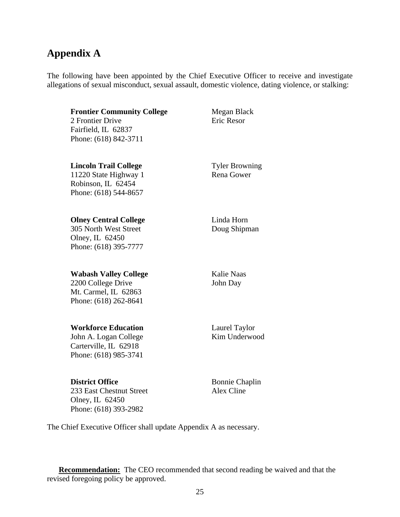# **Appendix A**

The following have been appointed by the Chief Executive Officer to receive and investigate allegations of sexual misconduct, sexual assault, domestic violence, dating violence, or stalking:

**Frontier Community College Megan Black** 2 Frontier Drive **Example 2 Frontier Drive** Fairfield, IL 62837

**Lincoln Trail College** Tyler Browning 11220 State Highway 1 Rena Gower Robinson, IL 62454 Phone: (618) 544-8657

Phone: (618) 842-3711

**Olney Central College** Linda Horn 305 North West Street Doug Shipman Olney, IL 62450 Phone: (618) 395-7777

#### **Wabash Valley College** Kalie Naas

2200 College Drive John Day Mt. Carmel, IL 62863 Phone: (618) 262-8641

## **Workforce Education** Laurel Taylor

John A. Logan College Kim Underwood Carterville, IL 62918 Phone: (618) 985-3741

**District Office** Bonnie Chaplin

233 East Chestnut Street Alex Cline Olney, IL 62450 Phone: (618) 393-2982

The Chief Executive Officer shall update Appendix A as necessary.

**Recommendation:**The CEO recommended that second reading be waived and that the revised foregoing policy be approved.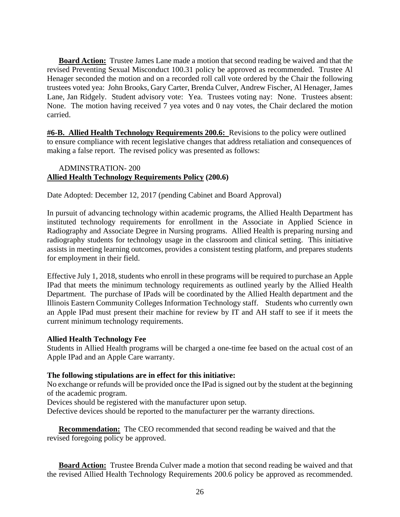**Board Action:** Trustee James Lane made a motion that second reading be waived and that the revised Preventing Sexual Misconduct 100.31 policy be approved as recommended. Trustee Al Henager seconded the motion and on a recorded roll call vote ordered by the Chair the following trustees voted yea: John Brooks, Gary Carter, Brenda Culver, Andrew Fischer, Al Henager, James Lane, Jan Ridgely. Student advisory vote: Yea. Trustees voting nay: None. Trustees absent: None. The motion having received 7 yea votes and 0 nay votes, the Chair declared the motion carried.

**#6-B. Allied Health Technology Requirements 200.6:** Revisions to the policy were outlined to ensure compliance with recent legislative changes that address retaliation and consequences of making a false report. The revised policy was presented as follows:

# ADMINSTRATION- 200 **Allied Health Technology Requirements Policy (200.6)**

Date Adopted: December 12, 2017 (pending Cabinet and Board Approval)

In pursuit of advancing technology within academic programs, the Allied Health Department has instituted technology requirements for enrollment in the Associate in Applied Science in Radiography and Associate Degree in Nursing programs. Allied Health is preparing nursing and radiography students for technology usage in the classroom and clinical setting. This initiative assists in meeting learning outcomes, provides a consistent testing platform, and prepares students for employment in their field.

Effective July 1, 2018, students who enroll in these programs will be required to purchase an Apple IPad that meets the minimum technology requirements as outlined yearly by the Allied Health Department. The purchase of IPads will be coordinated by the Allied Health department and the Illinois Eastern Community Colleges Information Technology staff. Students who currently own an Apple IPad must present their machine for review by IT and AH staff to see if it meets the current minimum technology requirements.

## **Allied Health Technology Fee**

Students in Allied Health programs will be charged a one-time fee based on the actual cost of an Apple IPad and an Apple Care warranty.

## **The following stipulations are in effect for this initiative:**

No exchange or refunds will be provided once the IPad is signed out by the student at the beginning of the academic program.

Devices should be registered with the manufacturer upon setup.

Defective devices should be reported to the manufacturer per the warranty directions.

 **Recommendation:**The CEO recommended that second reading be waived and that the revised foregoing policy be approved.

**Board Action:** Trustee Brenda Culver made a motion that second reading be waived and that the revised Allied Health Technology Requirements 200.6 policy be approved as recommended.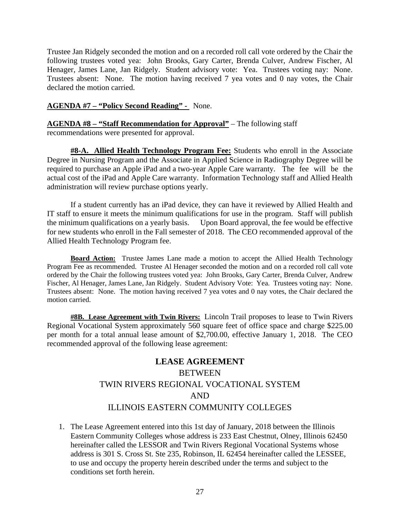Trustee Jan Ridgely seconded the motion and on a recorded roll call vote ordered by the Chair the following trustees voted yea: John Brooks, Gary Carter, Brenda Culver, Andrew Fischer, Al Henager, James Lane, Jan Ridgely. Student advisory vote: Yea. Trustees voting nay: None. Trustees absent: None. The motion having received 7 yea votes and 0 nay votes, the Chair declared the motion carried.

# **AGENDA #7 – "Policy Second Reading" -** None.

**AGENDA #8 – "Staff Recommendation for Approval"** – The following staff recommendations were presented for approval.

**#8-A. Allied Health Technology Program Fee:** Students who enroll in the Associate Degree in Nursing Program and the Associate in Applied Science in Radiography Degree will be required to purchase an Apple iPad and a two-year Apple Care warranty. The fee will be the actual cost of the iPad and Apple Care warranty. Information Technology staff and Allied Health administration will review purchase options yearly.

 If a student currently has an iPad device, they can have it reviewed by Allied Health and IT staff to ensure it meets the minimum qualifications for use in the program. Staff will publish the minimum qualifications on a yearly basis. Upon Board approval, the fee would be effective for new students who enroll in the Fall semester of 2018. The CEO recommended approval of the Allied Health Technology Program fee.

**Board Action:** Trustee James Lane made a motion to accept the Allied Health Technology Program Fee as recommended. Trustee Al Henager seconded the motion and on a recorded roll call vote ordered by the Chair the following trustees voted yea: John Brooks, Gary Carter, Brenda Culver, Andrew Fischer, Al Henager, James Lane, Jan Ridgely. Student Advisory Vote: Yea. Trustees voting nay: None. Trustees absent: None. The motion having received 7 yea votes and 0 nay votes, the Chair declared the motion carried.

**#8B. Lease Agreement with Twin Rivers:** Lincoln Trail proposes to lease to Twin Rivers Regional Vocational System approximately 560 square feet of office space and charge \$225.00 per month for a total annual lease amount of \$2,700.00, effective January 1, 2018. The CEO recommended approval of the following lease agreement:

# **LEASE AGREEMENT**  BETWEEN TWIN RIVERS REGIONAL VOCATIONAL SYSTEM AND ILLINOIS EASTERN COMMUNITY COLLEGES

1. The Lease Agreement entered into this 1st day of January, 2018 between the Illinois Eastern Community Colleges whose address is 233 East Chestnut, Olney, Illinois 62450 hereinafter called the LESSOR and Twin Rivers Regional Vocational Systems whose address is 301 S. Cross St. Ste 235, Robinson, IL 62454 hereinafter called the LESSEE, to use and occupy the property herein described under the terms and subject to the conditions set forth herein.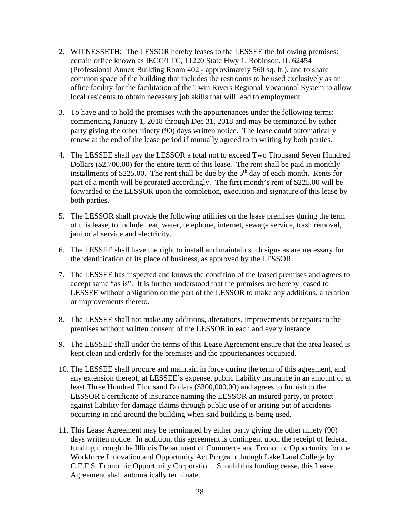- 2. WITNESSETH: The LESSOR hereby leases to the LESSEE the following premises: certain office known as IECC/LTC, 11220 State Hwy 1, Robinson, IL 62454 (Professional Annex Building Room 402 - approximately 560 sq. ft.), and to share common space of the building that includes the restrooms to be used exclusively as an office facility for the facilitation of the Twin Rivers Regional Vocational System to allow local residents to obtain necessary job skills that will lead to employment.
- 3. To have and to hold the premises with the appurtenances under the following terms: commencing January 1, 2018 through Dec 31, 2018 and may be terminated by either party giving the other ninety (90) days written notice. The lease could automatically renew at the end of the lease period if mutually agreed to in writing by both parties.
- 4. The LESSEE shall pay the LESSOR a total not to exceed Two Thousand Seven Hundred Dollars (\$2,700.00) for the entire term of this lease. The rent shall be paid in monthly installments of \$225.00. The rent shall be due by the  $5<sup>th</sup>$  day of each month. Rents for part of a month will be prorated accordingly. The first month's rent of \$225.00 will be forwarded to the LESSOR upon the completion, execution and signature of this lease by both parties.
- 5. The LESSOR shall provide the following utilities on the lease premises during the term of this lease, to include heat, water, telephone, internet, sewage service, trash removal, janitorial service and electricity.
- 6. The LESSEE shall have the right to install and maintain such signs as are necessary for the identification of its place of business, as approved by the LESSOR.
- 7. The LESSEE has inspected and knows the condition of the leased premises and agrees to accept same "as is". It is further understood that the premises are hereby leased to LESSEE without obligation on the part of the LESSOR to make any additions, alteration or improvements thereto.
- 8. The LESSEE shall not make any additions, alterations, improvements or repairs to the premises without written consent of the LESSOR in each and every instance.
- 9. The LESSEE shall under the terms of this Lease Agreement ensure that the area leased is kept clean and orderly for the premises and the appurtenances occupied.
- 10. The LESSEE shall procure and maintain in force during the term of this agreement, and any extension thereof, at LESSEE's expense, public liability insurance in an amount of at least Three Hundred Thousand Dollars (\$300,000.00) and agrees to furnish to the LESSOR a certificate of insurance naming the LESSOR an insured party, to protect against liability for damage claims through public use of or arising out of accidents occurring in and around the building when said building is being used.
- 11. This Lease Agreement may be terminated by either party giving the other ninety (90) days written notice. In addition, this agreement is contingent upon the receipt of federal funding through the Illinois Department of Commerce and Economic Opportunity for the Workforce Innovation and Opportunity Act Program through Lake Land College by C.E.F.S. Economic Opportunity Corporation. Should this funding cease, this Lease Agreement shall automatically terminate.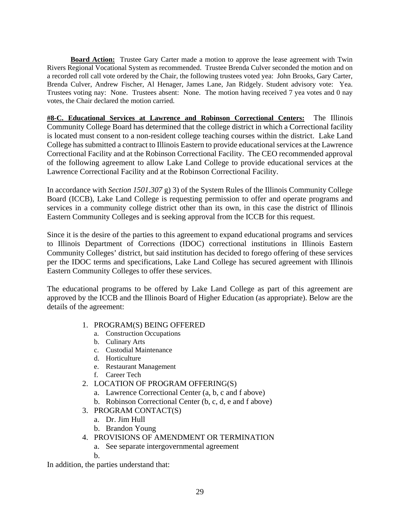**Board Action:** Trustee Gary Carter made a motion to approve the lease agreement with Twin Rivers Regional Vocational System as recommended. Trustee Brenda Culver seconded the motion and on a recorded roll call vote ordered by the Chair, the following trustees voted yea: John Brooks, Gary Carter, Brenda Culver, Andrew Fischer, Al Henager, James Lane, Jan Ridgely. Student advisory vote: Yea. Trustees voting nay: None. Trustees absent: None. The motion having received 7 yea votes and 0 nay votes, the Chair declared the motion carried.

**#8-C. Educational Services at Lawrence and Robinson Correctional Centers:** The Illinois Community College Board has determined that the college district in which a Correctional facility is located must consent to a non-resident college teaching courses within the district. Lake Land College has submitted a contract to Illinois Eastern to provide educational services at the Lawrence Correctional Facility and at the Robinson Correctional Facility. The CEO recommended approval of the following agreement to allow Lake Land College to provide educational services at the Lawrence Correctional Facility and at the Robinson Correctional Facility.

In accordance with *Section 1501.307* g) 3) of the System Rules of the Illinois Community College Board (ICCB), Lake Land College is requesting permission to offer and operate programs and services in a community college district other than its own, in this case the district of Illinois Eastern Community Colleges and is seeking approval from the ICCB for this request.

Since it is the desire of the parties to this agreement to expand educational programs and services to Illinois Department of Corrections (IDOC) correctional institutions in Illinois Eastern Community Colleges' district, but said institution has decided to forego offering of these services per the IDOC terms and specifications, Lake Land College has secured agreement with Illinois Eastern Community Colleges to offer these services.

The educational programs to be offered by Lake Land College as part of this agreement are approved by the ICCB and the Illinois Board of Higher Education (as appropriate). Below are the details of the agreement:

- 1. PROGRAM(S) BEING OFFERED
	- a. Construction Occupations
	- b. Culinary Arts
	- c. Custodial Maintenance
	- d. Horticulture
	- e. Restaurant Management
	- f. Career Tech
- 2. LOCATION OF PROGRAM OFFERING(S)
	- a. Lawrence Correctional Center (a, b, c and f above)
	- b. Robinson Correctional Center (b, c, d, e and f above)
- 3. PROGRAM CONTACT(S)
	- a. Dr. Jim Hull
	- b. Brandon Young
- 4. PROVISIONS OF AMENDMENT OR TERMINATION
	- a. See separate intergovernmental agreement
	- b.

In addition, the parties understand that: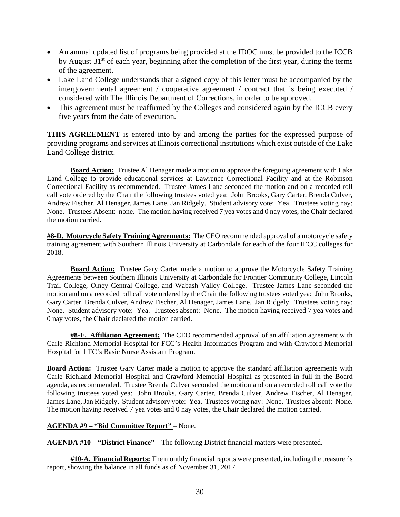- An annual updated list of programs being provided at the IDOC must be provided to the ICCB by August  $31<sup>st</sup>$  of each year, beginning after the completion of the first year, during the terms of the agreement.
- Lake Land College understands that a signed copy of this letter must be accompanied by the intergovernmental agreement / cooperative agreement / contract that is being executed / considered with The Illinois Department of Corrections, in order to be approved.
- This agreement must be reaffirmed by the Colleges and considered again by the ICCB every five years from the date of execution.

**THIS AGREEMENT** is entered into by and among the parties for the expressed purpose of providing programs and services at Illinois correctional institutions which exist outside of the Lake Land College district.

**Board Action:** Trustee Al Henager made a motion to approve the foregoing agreement with Lake Land College to provide educational services at Lawrence Correctional Facility and at the Robinson Correctional Facility as recommended. Trustee James Lane seconded the motion and on a recorded roll call vote ordered by the Chair the following trustees voted yea: John Brooks, Gary Carter, Brenda Culver, Andrew Fischer, Al Henager, James Lane, Jan Ridgely. Student advisory vote: Yea. Trustees voting nay: None. Trustees Absent: none. The motion having received 7 yea votes and 0 nay votes, the Chair declared the motion carried.

**#8-D. Motorcycle Safety Training Agreements:** The CEO recommended approval of a motorcycle safety training agreement with Southern Illinois University at Carbondale for each of the four IECC colleges for 2018.

**Board Action:** Trustee Gary Carter made a motion to approve the Motorcycle Safety Training Agreements between Southern Illinois University at Carbondale for Frontier Community College, Lincoln Trail College, Olney Central College, and Wabash Valley College. Trustee James Lane seconded the motion and on a recorded roll call vote ordered by the Chair the following trustees voted yea: John Brooks, Gary Carter, Brenda Culver, Andrew Fischer, Al Henager, James Lane, Jan Ridgely. Trustees voting nay: None. Student advisory vote: Yea. Trustees absent: None. The motion having received 7 yea votes and 0 nay votes, the Chair declared the motion carried.

**#8-E. Affiliation Agreement:** The CEO recommended approval of an affiliation agreement with Carle Richland Memorial Hospital for FCC's Health Informatics Program and with Crawford Memorial Hospital for LTC's Basic Nurse Assistant Program.

**Board Action:** Trustee Gary Carter made a motion to approve the standard affiliation agreements with Carle Richland Memorial Hospital and Crawford Memorial Hospital as presented in full in the Board agenda, as recommended. Trustee Brenda Culver seconded the motion and on a recorded roll call vote the following trustees voted yea: John Brooks, Gary Carter, Brenda Culver, Andrew Fischer, Al Henager, James Lane, Jan Ridgely. Student advisory vote: Yea. Trustees voting nay: None. Trustees absent: None. The motion having received 7 yea votes and 0 nay votes, the Chair declared the motion carried.

#### **AGENDA #9 – "Bid Committee Report"** – None.

**AGENDA #10 – "District Finance"** – The following District financial matters were presented.

**#10-A. Financial Reports:** The monthly financial reports were presented, including the treasurer's report, showing the balance in all funds as of November 31, 2017.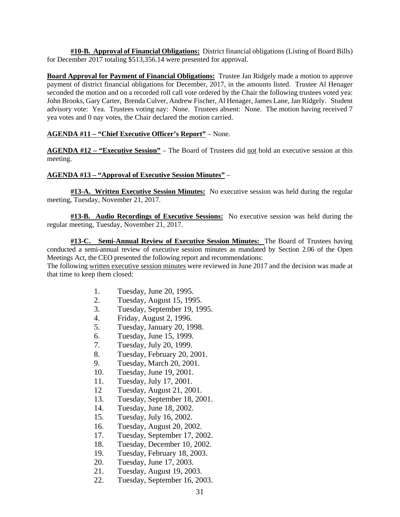**#10-B. Approval of Financial Obligations:** District financial obligations (Listing of Board Bills) for December 2017 totaling \$513,356.14 were presented for approval.

**Board Approval for Payment of Financial Obligations:** Trustee Jan Ridgely made a motion to approve payment of district financial obligations for December, 2017, in the amounts listed. Trustee Al Henager seconded the motion and on a recorded roll call vote ordered by the Chair the following trustees voted yea: John Brooks, Gary Carter, Brenda Culver, Andrew Fischer, Al Henager, James Lane, Jan Ridgely. Student advisory vote: Yea. Trustees voting nay: None. Trustees absent: None. The motion having received 7 yea votes and 0 nay votes, the Chair declared the motion carried.

#### **AGENDA #11 – "Chief Executive Officer's Report"** – None.

**AGENDA #12 – "Executive Session"** – The Board of Trustees did not hold an executive session at this meeting.

#### **AGENDA #13 – "Approval of Executive Session Minutes"** –

**#13-A. Written Executive Session Minutes:** No executive session was held during the regular meeting, Tuesday, November 21, 2017.

**#13-B. Audio Recordings of Executive Sessions:** No executive session was held during the regular meeting, Tuesday, November 21, 2017.

**#13-C. Semi-Annual Review of Executive Session Minutes:** The Board of Trustees having conducted a semi-annual review of executive session minutes as mandated by Section 2.06 of the Open Meetings Act, the CEO presented the following report and recommendations:

The following written executive session minutes were reviewed in June 2017 and the decision was made at that time to keep them closed:

- 1. Tuesday, June 20, 1995.
- 2. Tuesday, August 15, 1995.
- 3. Tuesday, September 19, 1995.
- 4. Friday, August 2, 1996.
- 5. Tuesday, January 20, 1998.
- 6. Tuesday, June 15, 1999.
- 7. Tuesday, July 20, 1999.
- 8. Tuesday, February 20, 2001.
- 9. Tuesday, March 20, 2001.
- 10. Tuesday, June 19, 2001.
- 11. Tuesday, July 17, 2001.
- 12 Tuesday, August 21, 2001.
- 13. Tuesday, September 18, 2001.
- 14. Tuesday, June 18, 2002.
- 15. Tuesday, July 16, 2002.
- 16. Tuesday, August 20, 2002.
- 17. Tuesday, September 17, 2002.
- 18. Tuesday, December 10, 2002.
- 19. Tuesday, February 18, 2003.
- 20. Tuesday, June 17, 2003.
- 21. Tuesday, August 19, 2003.
- 22. Tuesday, September 16, 2003.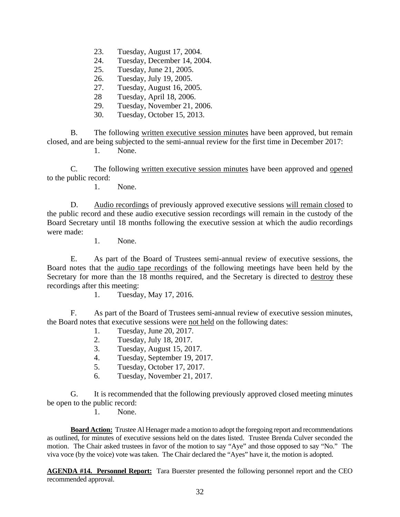- 23. Tuesday, August 17, 2004.
- 24. Tuesday, December 14, 2004.
- 25. Tuesday, June 21, 2005.
- 26. Tuesday, July 19, 2005.
- 27. Tuesday, August 16, 2005.
- 28 Tuesday, April 18, 2006.
- 29. Tuesday, November 21, 2006.
- 30. Tuesday, October 15, 2013.

 B. The following written executive session minutes have been approved, but remain closed, and are being subjected to the semi-annual review for the first time in December 2017: 1. None.

 C. The following written executive session minutes have been approved and opened to the public record:

1. None.

 D. Audio recordings of previously approved executive sessions will remain closed to the public record and these audio executive session recordings will remain in the custody of the Board Secretary until 18 months following the executive session at which the audio recordings were made:

1. None.

 E. As part of the Board of Trustees semi-annual review of executive sessions, the Board notes that the audio tape recordings of the following meetings have been held by the Secretary for more than the 18 months required, and the Secretary is directed to destroy these recordings after this meeting:

1. Tuesday, May 17, 2016.

 F. As part of the Board of Trustees semi-annual review of executive session minutes, the Board notes that executive sessions were not held on the following dates:

- 1. Tuesday, June 20, 2017.
- 2. Tuesday, July 18, 2017.
- 3. Tuesday, August 15, 2017.
- 4. Tuesday, September 19, 2017.
- 5. Tuesday, October 17, 2017.
- 6. Tuesday, November 21, 2017.

 G. It is recommended that the following previously approved closed meeting minutes be open to the public record:

1. None.

 **Board Action:** Trustee Al Henager made a motion to adopt the foregoing report and recommendations as outlined, for minutes of executive sessions held on the dates listed. Trustee Brenda Culver seconded the motion. The Chair asked trustees in favor of the motion to say "Aye" and those opposed to say "No." The viva voce (by the voice) vote was taken. The Chair declared the "Ayes" have it, the motion is adopted.

**AGENDA #14. Personnel Report:** Tara Buerster presented the following personnel report and the CEO recommended approval.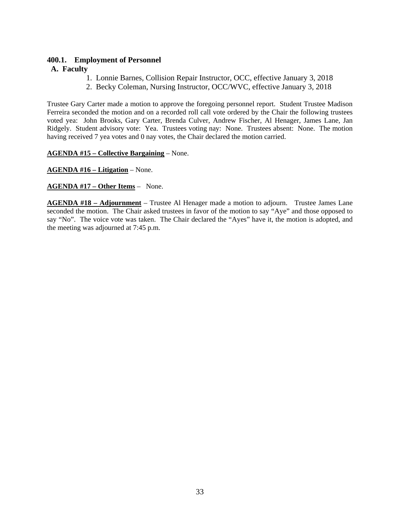# **400.1. Employment of Personnel**

# **A. Faculty**

- 1. Lonnie Barnes, Collision Repair Instructor, OCC, effective January 3, 2018
- 2. Becky Coleman, Nursing Instructor, OCC/WVC, effective January 3, 2018

Trustee Gary Carter made a motion to approve the foregoing personnel report. Student Trustee Madison Ferreira seconded the motion and on a recorded roll call vote ordered by the Chair the following trustees voted yea: John Brooks, Gary Carter, Brenda Culver, Andrew Fischer, Al Henager, James Lane, Jan Ridgely. Student advisory vote: Yea. Trustees voting nay: None. Trustees absent: None. The motion having received 7 yea votes and 0 nay votes, the Chair declared the motion carried.

**AGENDA #15 – Collective Bargaining** – None.

**AGENDA #16 – Litigation** – None.

**AGENDA #17 – Other Items** – None.

**AGENDA #18 – Adjournment** – Trustee Al Henager made a motion to adjourn. Trustee James Lane seconded the motion. The Chair asked trustees in favor of the motion to say "Aye" and those opposed to say "No". The voice vote was taken. The Chair declared the "Ayes" have it, the motion is adopted, and the meeting was adjourned at 7:45 p.m.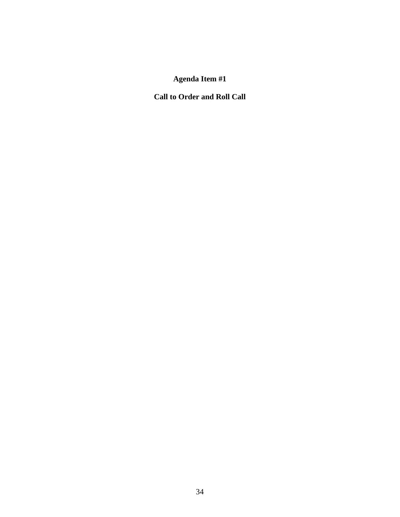# **Agenda Item #1**

**Call to Order and Roll Call**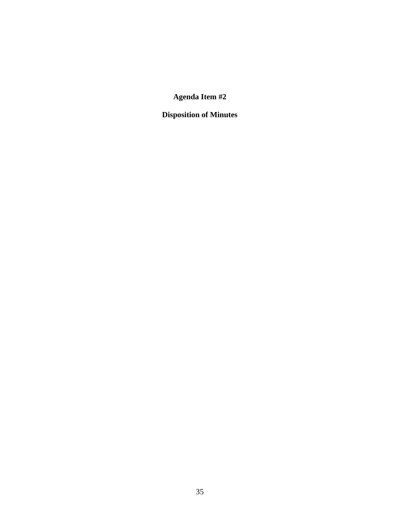**Agenda Item #2** 

**Disposition of Minutes**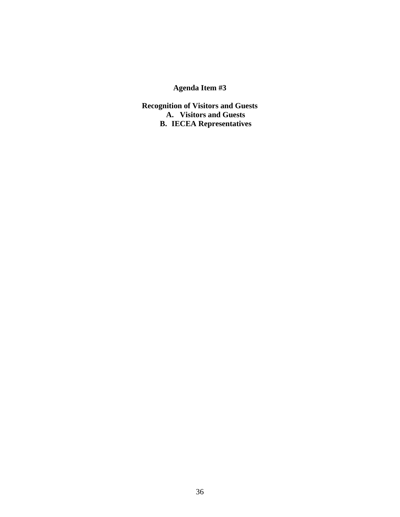# **Agenda Item #3**

**Recognition of Visitors and Guests A. Visitors and Guests B. IECEA Representatives**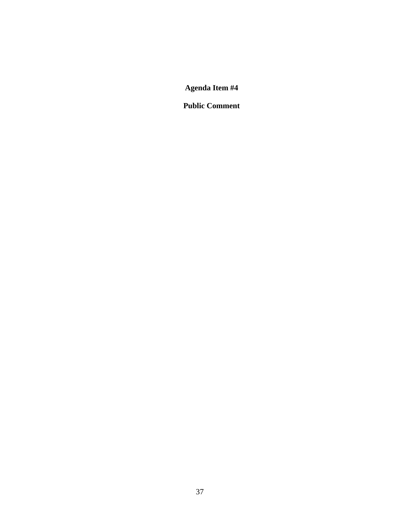**Public Comment**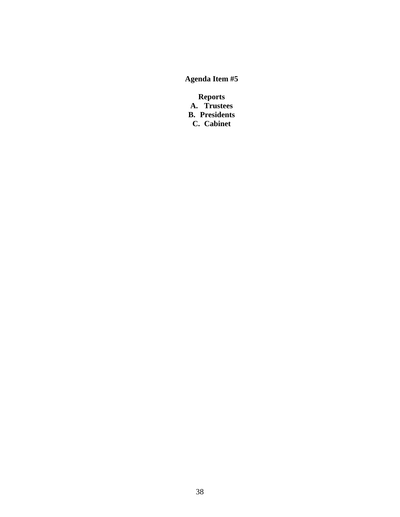**Reports A. Trustees B. Presidents C. Cabinet**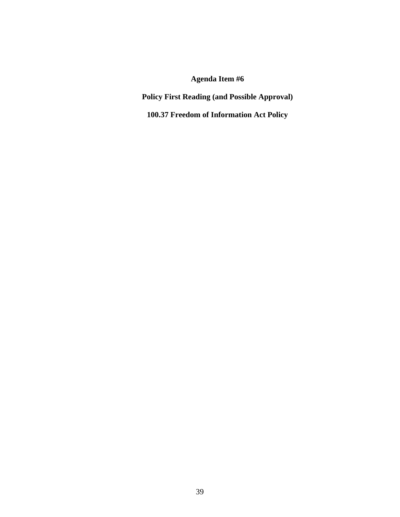**Policy First Reading (and Possible Approval)** 

**100.37 Freedom of Information Act Policy**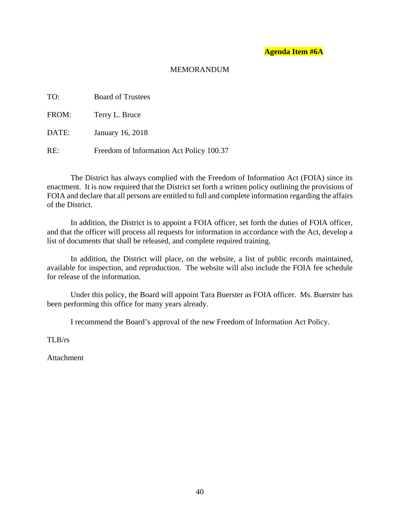## MEMORANDUM

| TO:   | <b>Board of Trustees</b>                 |
|-------|------------------------------------------|
| FROM: | Terry L. Bruce                           |
| DATE: | January 16, 2018                         |
| RE:   | Freedom of Information Act Policy 100.37 |

The District has always complied with the Freedom of Information Act (FOIA) since its enactment. It is now required that the District set forth a written policy outlining the provisions of FOIA and declare that all persons are entitled to full and complete information regarding the affairs of the District.

In addition, the District is to appoint a FOIA officer, set forth the duties of FOIA officer, and that the officer will process all requests for information in accordance with the Act, develop a list of documents that shall be released, and complete required training.

In addition, the District will place, on the website, a list of public records maintained, available for inspection, and reproduction. The website will also include the FOIA fee schedule for release of the information.

Under this policy, the Board will appoint Tara Buerster as FOIA officer. Ms. Buerster has been performing this office for many years already.

I recommend the Board's approval of the new Freedom of Information Act Policy.

TLB/rs

Attachment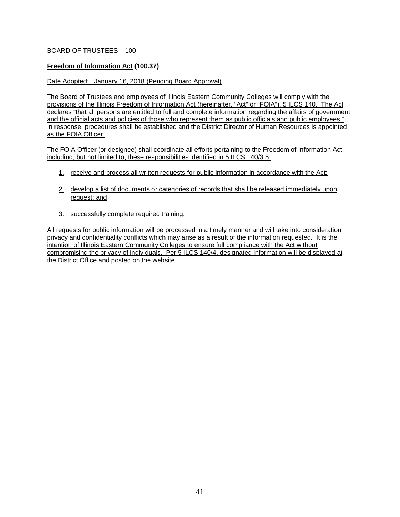## BOARD OF TRUSTEES – 100

### **Freedom of Information Act (100.37)**

#### Date Adopted: January 16, 2018 (Pending Board Approval)

The Board of Trustees and employees of Illinois Eastern Community Colleges will comply with the provisions of the Illinois Freedom of Information Act (hereinafter, "Act" or "FOIA"), 5 ILCS 140. The Act declares "that all persons are entitled to full and complete information regarding the affairs of government and the official acts and policies of those who represent them as public officials and public employees." In response, procedures shall be established and the District Director of Human Resources is appointed as the FOIA Officer.

The FOIA Officer (or designee) shall coordinate all efforts pertaining to the Freedom of Information Act including, but not limited to, these responsibilities identified in 5 ILCS 140/3.5:

- 1. receive and process all written requests for public information in accordance with the Act;
- 2. develop a list of documents or categories of records that shall be released immediately upon request; and
- 3. successfully complete required training.

All requests for public information will be processed in a timely manner and will take into consideration privacy and confidentiality conflicts which may arise as a result of the information requested. It is the intention of Illinois Eastern Community Colleges to ensure full compliance with the Act without compromising the privacy of individuals. Per 5 ILCS 140/4, designated information will be displayed at the District Office and posted on the website.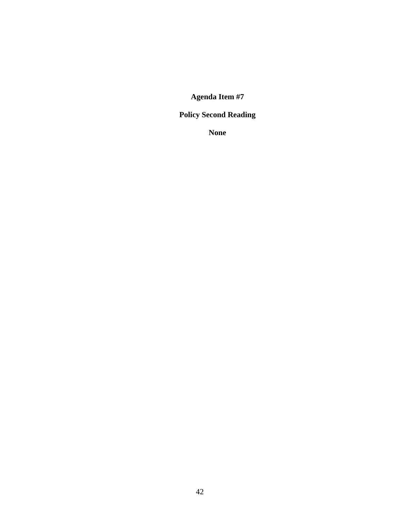# **Policy Second Reading**

**None**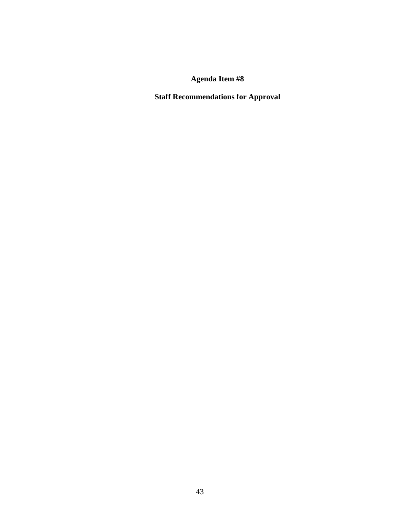**Staff Recommendations for Approval**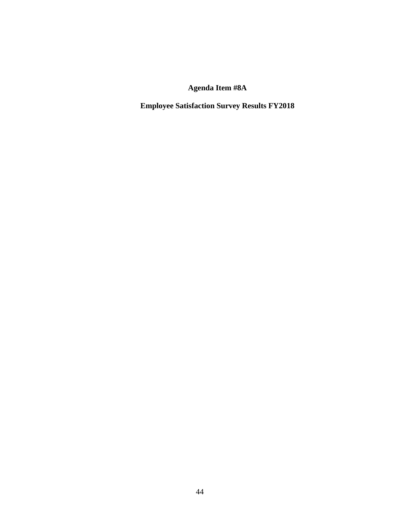**Employee Satisfaction Survey Results FY2018**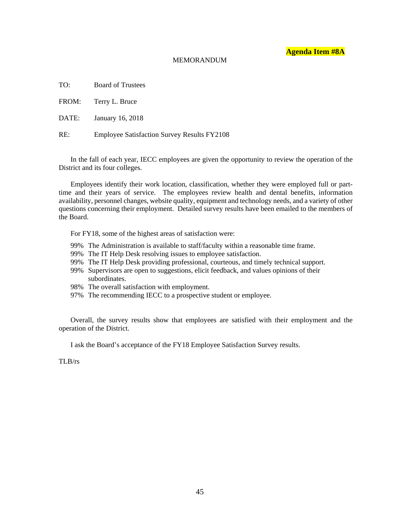#### MEMORANDUM

TO: Board of Trustees

FROM: Terry L. Bruce

DATE: January 16, 2018

RE: Employee Satisfaction Survey Results FY2108

In the fall of each year, IECC employees are given the opportunity to review the operation of the District and its four colleges.

Employees identify their work location, classification, whether they were employed full or parttime and their years of service. The employees review health and dental benefits, information availability, personnel changes, website quality, equipment and technology needs, and a variety of other questions concerning their employment. Detailed survey results have been emailed to the members of the Board.

For FY18, some of the highest areas of satisfaction were:

- 99% The Administration is available to staff/faculty within a reasonable time frame.
- 99% The IT Help Desk resolving issues to employee satisfaction.
- 99% The IT Help Desk providing professional, courteous, and timely technical support.
- 99% Supervisors are open to suggestions, elicit feedback, and values opinions of their subordinates.
- 98% The overall satisfaction with employment.
- 97% The recommending IECC to a prospective student or employee.

Overall, the survey results show that employees are satisfied with their employment and the operation of the District.

I ask the Board's acceptance of the FY18 Employee Satisfaction Survey results.

TLB/rs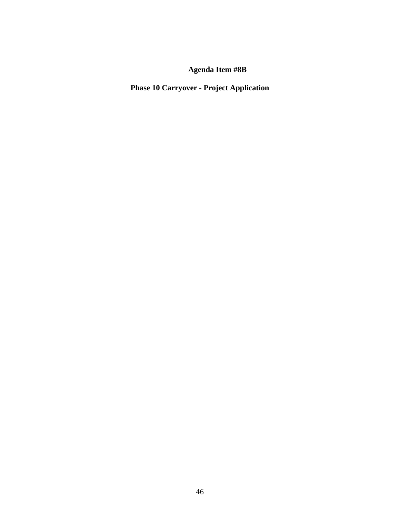**Phase 10 Carryover - Project Application**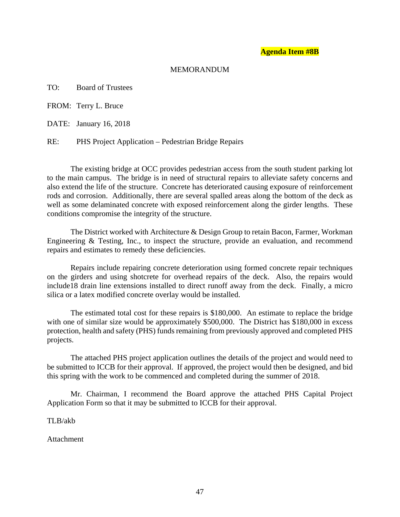### MEMORANDUM

TO: Board of Trustees

FROM: Terry L. Bruce

DATE: January 16, 2018

RE: PHS Project Application – Pedestrian Bridge Repairs

 The existing bridge at OCC provides pedestrian access from the south student parking lot to the main campus. The bridge is in need of structural repairs to alleviate safety concerns and also extend the life of the structure. Concrete has deteriorated causing exposure of reinforcement rods and corrosion. Additionally, there are several spalled areas along the bottom of the deck as well as some delaminated concrete with exposed reinforcement along the girder lengths. These conditions compromise the integrity of the structure.

 The District worked with Architecture & Design Group to retain Bacon, Farmer, Workman Engineering & Testing, Inc., to inspect the structure, provide an evaluation, and recommend repairs and estimates to remedy these deficiencies.

 Repairs include repairing concrete deterioration using formed concrete repair techniques on the girders and using shotcrete for overhead repairs of the deck. Also, the repairs would include18 drain line extensions installed to direct runoff away from the deck. Finally, a micro silica or a latex modified concrete overlay would be installed.

 The estimated total cost for these repairs is \$180,000. An estimate to replace the bridge with one of similar size would be approximately \$500,000. The District has \$180,000 in excess protection, health and safety (PHS) funds remaining from previously approved and completed PHS projects.

 The attached PHS project application outlines the details of the project and would need to be submitted to ICCB for their approval. If approved, the project would then be designed, and bid this spring with the work to be commenced and completed during the summer of 2018.

 Mr. Chairman, I recommend the Board approve the attached PHS Capital Project Application Form so that it may be submitted to ICCB for their approval.

TLB/akb

Attachment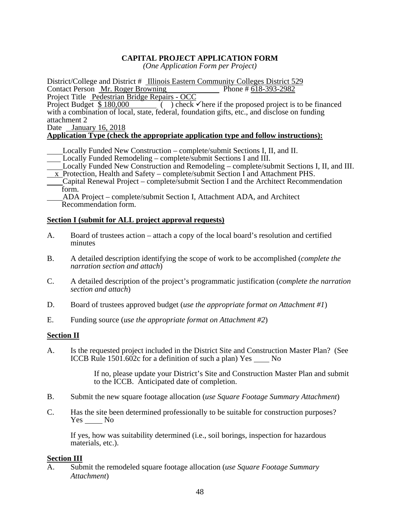# **CAPITAL PROJECT APPLICATION FORM**

*(One Application Form per Project)* 

District/College and District # Illinois Eastern Community Colleges District 529<br>Contact Person Mr. Roger Browning Phone # 618-393-2982 Contact Person Mr. Roger Browning

Project Title Pedestrian Bridge Repairs - OCC

Project Budget  $\sqrt[6]{}$  180,000 ( ) check here if the proposed project is to be financed with a combination of local, state, federal, foundation gifts, etc., and disclose on funding attachment 2

### Date January 16, 2018

## **Application Type (check the appropriate application type and follow instructions):**

- Locally Funded New Construction complete/submit Sections I, II, and II.
- Locally Funded Remodeling complete/submit Sections I and III.
- Locally Funded New Construction and Remodeling complete/submit Sections I, II, and III.  $\overline{x}$  Protection, Health and Safety – complete/submit Section I and Attachment PHS.
- Capital Renewal Project complete/submit Section I and the Architect Recommendation form.

 ADA Project – complete/submit Section I, Attachment ADA, and Architect Recommendation form.

## **Section I (submit for ALL project approval requests)**

- A. Board of trustees action attach a copy of the local board's resolution and certified minutes
- B. A detailed description identifying the scope of work to be accomplished (*complete the narration section and attach*)
- C. A detailed description of the project's programmatic justification (*complete the narration section and attach*)
- D. Board of trustees approved budget (*use the appropriate format on Attachment #1*)
- E. Funding source (*use the appropriate format on Attachment #2*)

## **Section II**

A. Is the requested project included in the District Site and Construction Master Plan? (See ICCB Rule 1501.602c for a definition of such a plan) Yes No

> If no, please update your District's Site and Construction Master Plan and submit to the ICCB. Anticipated date of completion.

- B. Submit the new square footage allocation (*use Square Footage Summary Attachment*)
- C. Has the site been determined professionally to be suitable for construction purposes? Yes No

If yes, how was suitability determined (i.e., soil borings, inspection for hazardous materials, etc.).

## **Section III**

A. Submit the remodeled square footage allocation (*use Square Footage Summary Attachment*)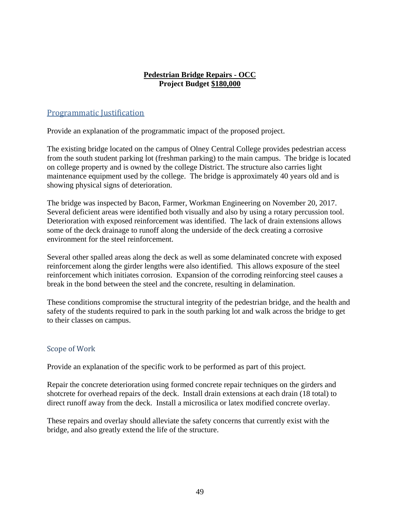# **Pedestrian Bridge Repairs - OCC Project Budget \$180,000**

# Programmatic Justification

Provide an explanation of the programmatic impact of the proposed project.

The existing bridge located on the campus of Olney Central College provides pedestrian access from the south student parking lot (freshman parking) to the main campus. The bridge is located on college property and is owned by the college District. The structure also carries light maintenance equipment used by the college. The bridge is approximately 40 years old and is showing physical signs of deterioration.

The bridge was inspected by Bacon, Farmer, Workman Engineering on November 20, 2017. Several deficient areas were identified both visually and also by using a rotary percussion tool. Deterioration with exposed reinforcement was identified. The lack of drain extensions allows some of the deck drainage to runoff along the underside of the deck creating a corrosive environment for the steel reinforcement.

Several other spalled areas along the deck as well as some delaminated concrete with exposed reinforcement along the girder lengths were also identified. This allows exposure of the steel reinforcement which initiates corrosion. Expansion of the corroding reinforcing steel causes a break in the bond between the steel and the concrete, resulting in delamination.

These conditions compromise the structural integrity of the pedestrian bridge, and the health and safety of the students required to park in the south parking lot and walk across the bridge to get to their classes on campus.

# Scope of Work

Provide an explanation of the specific work to be performed as part of this project.

Repair the concrete deterioration using formed concrete repair techniques on the girders and shotcrete for overhead repairs of the deck. Install drain extensions at each drain (18 total) to direct runoff away from the deck. Install a microsilica or latex modified concrete overlay.

These repairs and overlay should alleviate the safety concerns that currently exist with the bridge, and also greatly extend the life of the structure.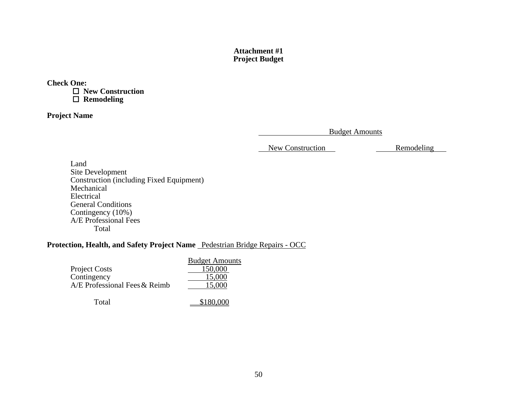## **Attachment #1Project Budget**

**Check One:** 

  **New Construction Remodeling** 

**Project Name** 

Budget Amounts

New Construction Remodeling

Land Site Development Construction (including Fixed Equipment) Mechanical Electrical General Conditions Contingency (10%) A/E Professional Fees Total

# **Protection, Health, and Safety Project Name** Pedestrian Bridge Repairs - OCC

|                               | <b>Budget Amounts</b> |
|-------------------------------|-----------------------|
| <b>Project Costs</b>          | 150,000               |
| Contingency                   | 15,000                |
| A/E Professional Fees & Reimb | 15,000                |
|                               |                       |

Total \$180,000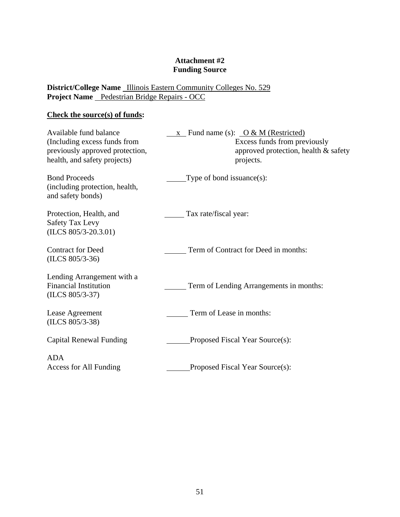# **Attachment #2 Funding Source**

**District/College Name** Illinois Eastern Community Colleges No. 529 Project Name Pedestrian Bridge Repairs - OCC

# **Check the source(s) of funds:**

| Available fund balance<br>(Including excess funds from<br>previously approved protection,<br>health, and safety projects) | $\underline{x}$ Fund name (s): $\underline{O & M$ (Restricted)<br>Excess funds from previously<br>approved protection, health & safety<br>projects. |
|---------------------------------------------------------------------------------------------------------------------------|-----------------------------------------------------------------------------------------------------------------------------------------------------|
| <b>Bond Proceeds</b><br>(including protection, health,<br>and safety bonds)                                               | Type of bond issuance $(s)$ :                                                                                                                       |
| Protection, Health, and<br><b>Safety Tax Levy</b><br>$(ILCS 805/3-20.3.01)$                                               | Tax rate/fiscal year:                                                                                                                               |
| <b>Contract for Deed</b><br>$(ILCS 805/3-36)$                                                                             | Term of Contract for Deed in months:                                                                                                                |
| Lending Arrangement with a<br><b>Financial Institution</b><br>$(ILCS 805/3-37)$                                           | Term of Lending Arrangements in months:                                                                                                             |
| Lease Agreement<br>$(ILCS 805/3-38)$                                                                                      | Term of Lease in months:                                                                                                                            |
| Capital Renewal Funding                                                                                                   | Proposed Fiscal Year Source(s):                                                                                                                     |
| <b>ADA</b><br>Access for All Funding                                                                                      | Proposed Fiscal Year Source(s):                                                                                                                     |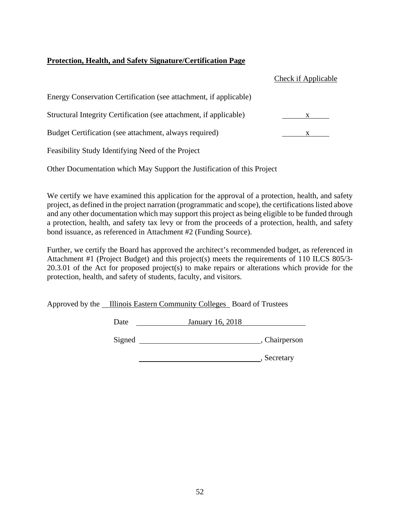# **Protection, Health, and Safety Signature/Certification Page**

|                                                                    | Check if Applicable |
|--------------------------------------------------------------------|---------------------|
| Energy Conservation Certification (see attachment, if applicable)  |                     |
| Structural Integrity Certification (see attachment, if applicable) | X.                  |
| Budget Certification (see attachment, always required)             |                     |
| Feasibility Study Identifying Need of the Project                  |                     |

Other Documentation which May Support the Justification of this Project

We certify we have examined this application for the approval of a protection, health, and safety project, as defined in the project narration (programmatic and scope), the certifications listed above and any other documentation which may support this project as being eligible to be funded through a protection, health, and safety tax levy or from the proceeds of a protection, health, and safety bond issuance, as referenced in Attachment #2 (Funding Source).

Further, we certify the Board has approved the architect's recommended budget, as referenced in Attachment #1 (Project Budget) and this project(s) meets the requirements of 110 ILCS 805/3- 20.3.01 of the Act for proposed project(s) to make repairs or alterations which provide for the protection, health, and safety of students, faculty, and visitors.

Approved by the Illinois Eastern Community Colleges Board of Trustees

Date January 16, 2018

Signed Chairperson, Chairperson

**Marshall**, Secretary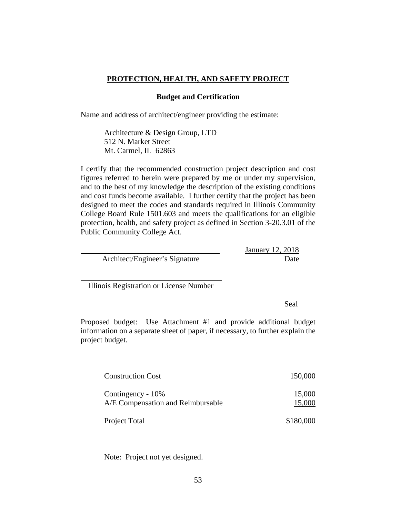## **PROTECTION, HEALTH, AND SAFETY PROJECT**

### **Budget and Certification**

Name and address of architect/engineer providing the estimate:

Architecture & Design Group, LTD 512 N. Market Street Mt. Carmel, IL 62863

I certify that the recommended construction project description and cost figures referred to herein were prepared by me or under my supervision, and to the best of my knowledge the description of the existing conditions and cost funds become available. I further certify that the project has been designed to meet the codes and standards required in Illinois Community College Board Rule 1501.603 and meets the qualifications for an eligible protection, health, and safety project as defined in Section 3-20.3.01 of the Public Community College Act.

|                                | January 12, 2018 |
|--------------------------------|------------------|
| Architect/Engineer's Signature | Date             |

Illinois Registration or License Number

l

Seal

Proposed budget: Use Attachment #1 and provide additional budget information on a separate sheet of paper, if necessary, to further explain the project budget.

| <b>Construction Cost</b>                               | 150,000          |
|--------------------------------------------------------|------------------|
| Contingency - 10%<br>A/E Compensation and Reimbursable | 15,000<br>15,000 |
| Project Total                                          |                  |

Note: Project not yet designed.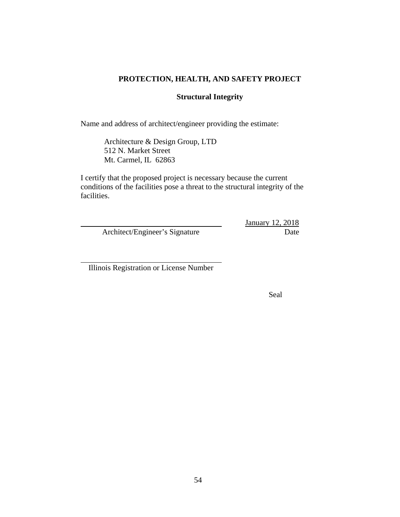# **PROTECTION, HEALTH, AND SAFETY PROJECT**

# **Structural Integrity**

Name and address of architect/engineer providing the estimate:

Architecture & Design Group, LTD 512 N. Market Street Mt. Carmel, IL 62863

I certify that the proposed project is necessary because the current conditions of the facilities pose a threat to the structural integrity of the facilities.

Architect/Engineer's Signature Date

January 12, 2018

Illinois Registration or License Number

 $\overline{a}$ 

Seal Sealer Contract of the Sealer Contract of the Sealer Contract of the Sealer Contract of the Sealer Contract of the Sealer Contract of the Sealer Contract of the Sealer Contract of the Sealer Contract of the Sealer Con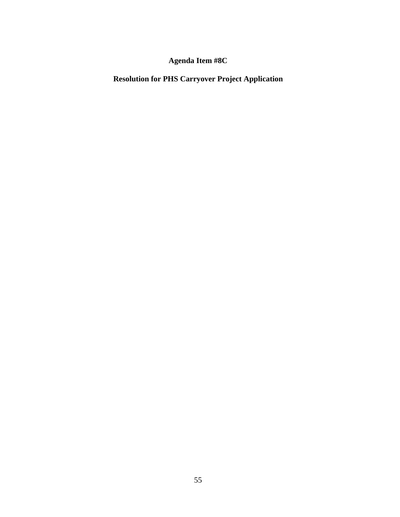**Resolution for PHS Carryover Project Application**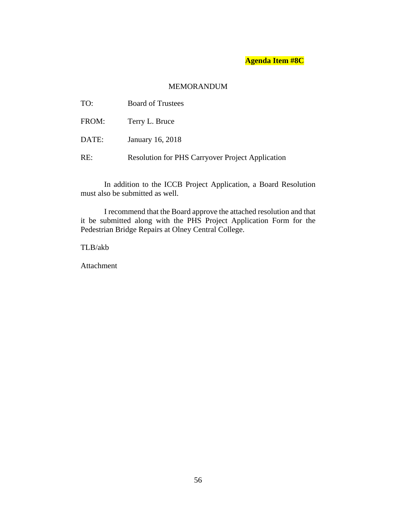# MEMORANDUM

| TO:   | <b>Board of Trustees</b>                                |
|-------|---------------------------------------------------------|
| FROM: | Terry L. Bruce                                          |
| DATE: | January 16, 2018                                        |
| RE:   | <b>Resolution for PHS Carryover Project Application</b> |

In addition to the ICCB Project Application, a Board Resolution must also be submitted as well.

I recommend that the Board approve the attached resolution and that it be submitted along with the PHS Project Application Form for the Pedestrian Bridge Repairs at Olney Central College.

TLB/akb

Attachment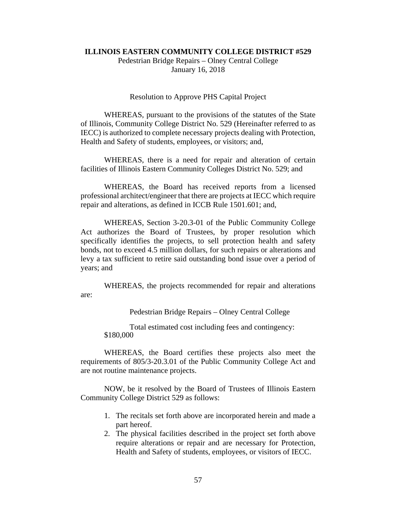#### **ILLINOIS EASTERN COMMUNITY COLLEGE DISTRICT #529**

Pedestrian Bridge Repairs – Olney Central College January 16, 2018

#### Resolution to Approve PHS Capital Project

 WHEREAS, pursuant to the provisions of the statutes of the State of Illinois, Community College District No. 529 (Hereinafter referred to as IECC) is authorized to complete necessary projects dealing with Protection, Health and Safety of students, employees, or visitors; and,

 WHEREAS, there is a need for repair and alteration of certain facilities of Illinois Eastern Community Colleges District No. 529; and

 WHEREAS, the Board has received reports from a licensed professional architect/engineer that there are projects at IECC which require repair and alterations, as defined in ICCB Rule 1501.601; and,

 WHEREAS, Section 3-20.3-01 of the Public Community College Act authorizes the Board of Trustees, by proper resolution which specifically identifies the projects, to sell protection health and safety bonds, not to exceed 4.5 million dollars, for such repairs or alterations and levy a tax sufficient to retire said outstanding bond issue over a period of years; and

 WHEREAS, the projects recommended for repair and alterations are:

Pedestrian Bridge Repairs – Olney Central College

 Total estimated cost including fees and contingency: \$180,000

 WHEREAS, the Board certifies these projects also meet the requirements of 805/3-20.3.01 of the Public Community College Act and are not routine maintenance projects.

 NOW, be it resolved by the Board of Trustees of Illinois Eastern Community College District 529 as follows:

- 1. The recitals set forth above are incorporated herein and made a part hereof.
- 2. The physical facilities described in the project set forth above require alterations or repair and are necessary for Protection, Health and Safety of students, employees, or visitors of IECC.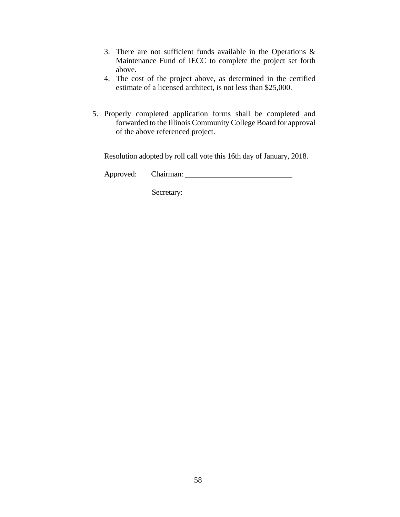- 3. There are not sufficient funds available in the Operations & Maintenance Fund of IECC to complete the project set forth above.
- 4. The cost of the project above, as determined in the certified estimate of a licensed architect, is not less than \$25,000.
- 5. Properly completed application forms shall be completed and forwarded to the Illinois Community College Board for approval of the above referenced project.

Resolution adopted by roll call vote this 16th day of January, 2018.

Approved: Chairman:

Secretary: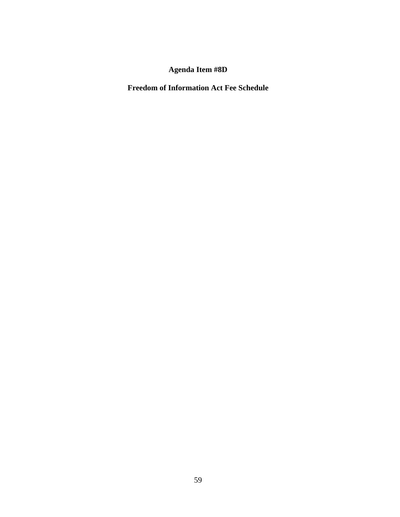**Freedom of Information Act Fee Schedule**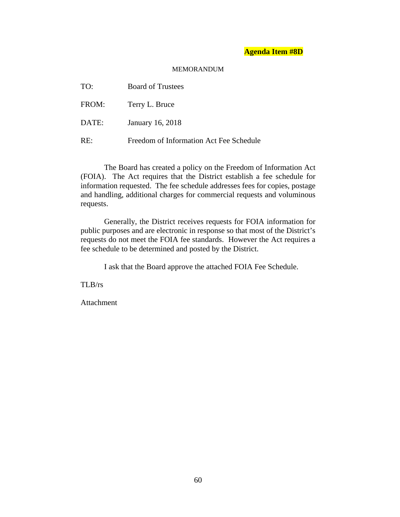#### MEMORANDUM

| TO:   | <b>Board of Trustees</b>                |
|-------|-----------------------------------------|
| FROM: | Terry L. Bruce                          |
| DATE: | January 16, 2018                        |
| RE:   | Freedom of Information Act Fee Schedule |

The Board has created a policy on the Freedom of Information Act (FOIA). The Act requires that the District establish a fee schedule for information requested. The fee schedule addresses fees for copies, postage and handling, additional charges for commercial requests and voluminous requests.

Generally, the District receives requests for FOIA information for public purposes and are electronic in response so that most of the District's requests do not meet the FOIA fee standards. However the Act requires a fee schedule to be determined and posted by the District.

I ask that the Board approve the attached FOIA Fee Schedule.

TLB/rs

Attachment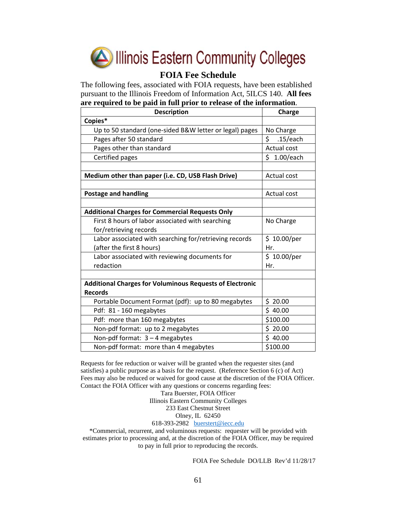

# **FOIA Fee Schedule**

The following fees, associated with FOIA requests, have been established pursuant to the Illinois Freedom of Information Act, 5ILCS 140. **All fees are required to be paid in full prior to release of the information**.

| <b>Description</b>                                              | Charge             |
|-----------------------------------------------------------------|--------------------|
| Copies*                                                         |                    |
| Up to 50 standard (one-sided B&W letter or legal) pages         | No Charge          |
| Pages after 50 standard                                         | \$<br>.15/each     |
| Pages other than standard                                       | <b>Actual cost</b> |
| Certified pages                                                 | \$1.00/each        |
|                                                                 |                    |
| Medium other than paper (i.e. CD, USB Flash Drive)              | Actual cost        |
|                                                                 |                    |
| <b>Postage and handling</b>                                     | Actual cost        |
|                                                                 |                    |
| <b>Additional Charges for Commercial Requests Only</b>          |                    |
| First 8 hours of labor associated with searching                | No Charge          |
| for/retrieving records                                          |                    |
| Labor associated with searching for/retrieving records          | \$10.00/per        |
| (after the first 8 hours)                                       | Hr.                |
| Labor associated with reviewing documents for                   | \$10.00/per        |
| redaction                                                       | Hr.                |
|                                                                 |                    |
| <b>Additional Charges for Voluminous Requests of Electronic</b> |                    |
| <b>Records</b>                                                  |                    |
| Portable Document Format (pdf): up to 80 megabytes              | \$20.00            |
| Pdf: 81 - 160 megabytes                                         | \$40.00            |
| Pdf: more than 160 megabytes                                    | \$100.00           |
| Non-pdf format: up to 2 megabytes                               | \$20.00            |
| Non-pdf format: 3 - 4 megabytes                                 | \$40.00            |
| Non-pdf format: more than 4 megabytes                           | \$100.00           |

Requests for fee reduction or waiver will be granted when the requester sites (and satisfies) a public purpose as a basis for the request. (Reference Section 6 (c) of Act) Fees may also be reduced or waived for good cause at the discretion of the FOIA Officer. Contact the FOIA Officer with any questions or concerns regarding fees:

Tara Buerster, FOIA Officer Illinois Eastern Community Colleges 233 East Chestnut Street

#### Olney, IL 62450

618-393-2982 buerstert@iecc.edu

\*Commercial, recurrent, and voluminous requests: requester will be provided with estimates prior to processing and, at the discretion of the FOIA Officer, may be required to pay in full prior to reproducing the records.

FOIA Fee Schedule DO/LLB Rev'd 11/28/17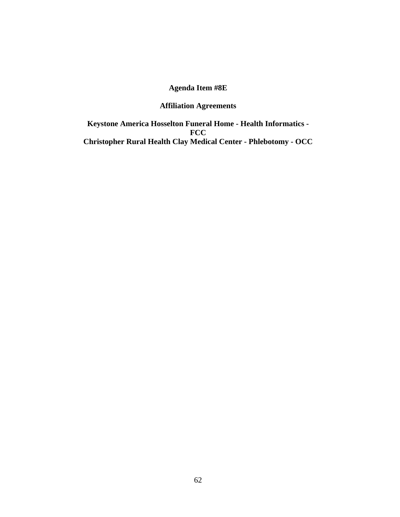# **Affiliation Agreements**

**Keystone America Hosselton Funeral Home - Health Informatics - FCC Christopher Rural Health Clay Medical Center - Phlebotomy - OCC**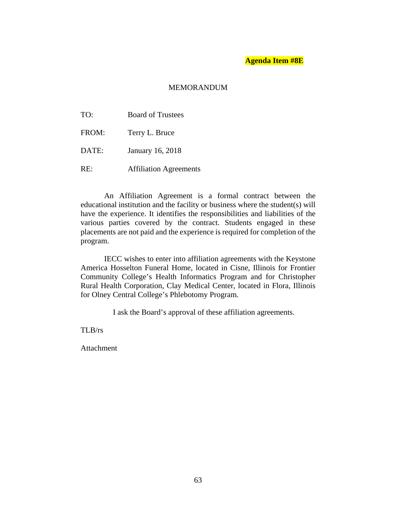### **MEMORANDUM**

| TO:   | <b>Board of Trustees</b>      |
|-------|-------------------------------|
| FROM: | Terry L. Bruce                |
| DATE: | January 16, 2018              |
| RE:   | <b>Affiliation Agreements</b> |

An Affiliation Agreement is a formal contract between the educational institution and the facility or business where the student(s) will have the experience. It identifies the responsibilities and liabilities of the various parties covered by the contract. Students engaged in these placements are not paid and the experience is required for completion of the program.

IECC wishes to enter into affiliation agreements with the Keystone America Hosselton Funeral Home, located in Cisne, Illinois for Frontier Community College's Health Informatics Program and for Christopher Rural Health Corporation, Clay Medical Center, located in Flora, Illinois for Olney Central College's Phlebotomy Program.

I ask the Board's approval of these affiliation agreements.

TLB/rs

Attachment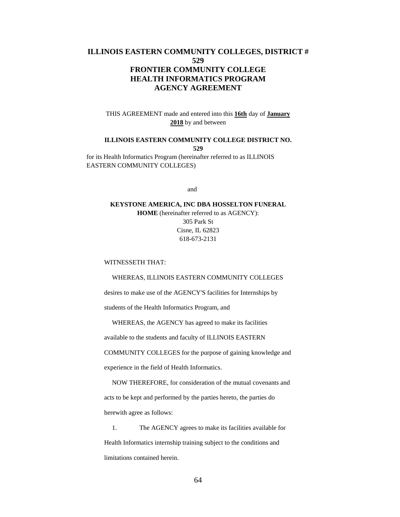## **ILLINOIS EASTERN COMMUNITY COLLEGES, DISTRICT # 529 FRONTIER COMMUNITY COLLEGE HEALTH INFORMATICS PROGRAM AGENCY AGREEMENT**

THIS AGREEMENT made and entered into this **16th** day of **January 2018** by and between

# **ILLINOIS EASTERN COMMUNITY COLLEGE DISTRICT NO. 529**

for its Health Informatics Program (hereinafter referred to as ILLINOIS EASTERN COMMUNITY COLLEGES)

and

### **KEYSTONE AMERICA, INC DBA HOSSELTON FUNERAL HOME** (hereinafter referred to as AGENCY): 305 Park St Cisne, IL 62823 618-673-2131

#### WITNESSETH THAT:

#### WHEREAS, ILLINOIS EASTERN COMMUNITY COLLEGES

desires to make use of the AGENCY'S facilities for Internships by

students of the Health Informatics Program, and

WHEREAS, the AGENCY has agreed to make its facilities

available to the students and faculty of ILLINOIS EASTERN

COMMUNITY COLLEGES for the purpose of gaining knowledge and

experience in the field of Health Informatics.

 NOW THEREFORE, for consideration of the mutual covenants and acts to be kept and performed by the parties hereto, the parties do herewith agree as follows:

 1. The AGENCY agrees to make its facilities available for Health Informatics internship training subject to the conditions and limitations contained herein.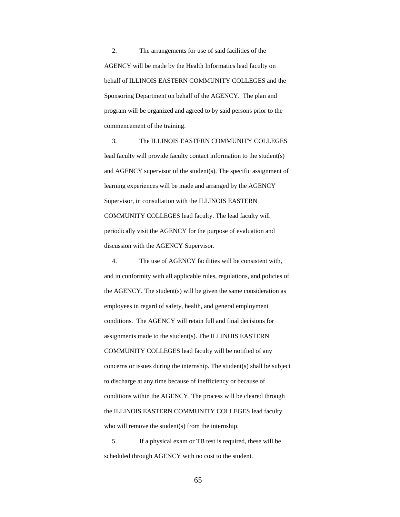2. The arrangements for use of said facilities of the AGENCY will be made by the Health Informatics lead faculty on behalf of ILLINOIS EASTERN COMMUNITY COLLEGES and the Sponsoring Department on behalf of the AGENCY. The plan and program will be organized and agreed to by said persons prior to the commencement of the training.

 3. The ILLINOIS EASTERN COMMUNITY COLLEGES lead faculty will provide faculty contact information to the student(s) and AGENCY supervisor of the student(s). The specific assignment of learning experiences will be made and arranged by the AGENCY Supervisor, in consultation with the ILLINOIS EASTERN COMMUNITY COLLEGES lead faculty. The lead faculty will periodically visit the AGENCY for the purpose of evaluation and discussion with the AGENCY Supervisor.

 4. The use of AGENCY facilities will be consistent with, and in conformity with all applicable rules, regulations, and policies of the AGENCY. The student(s) will be given the same consideration as employees in regard of safety, health, and general employment conditions. The AGENCY will retain full and final decisions for assignments made to the student(s). The ILLINOIS EASTERN COMMUNITY COLLEGES lead faculty will be notified of any concerns or issues during the internship. The student(s) shall be subject to discharge at any time because of inefficiency or because of conditions within the AGENCY. The process will be cleared through the ILLINOIS EASTERN COMMUNITY COLLEGES lead faculty who will remove the student(s) from the internship.

 5. If a physical exam or TB test is required, these will be scheduled through AGENCY with no cost to the student.

65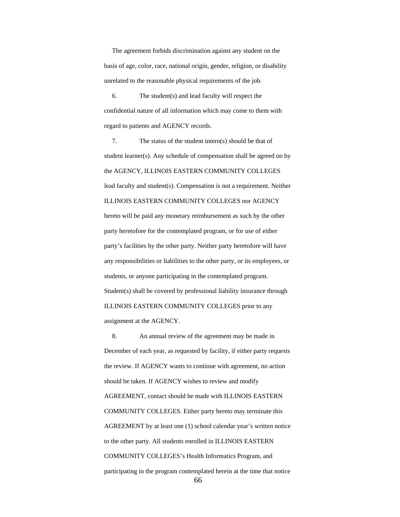The agreement forbids discrimination against any student on the basis of age, color, race, national origin, gender, religion, or disability unrelated to the reasonable physical requirements of the job.

 6. The student(s) and lead faculty will respect the confidential nature of all information which may come to them with regard to patients and AGENCY records.

 7. The status of the student intern(s) should be that of student learner(s). Any schedule of compensation shall be agreed on by the AGENCY, ILLINOIS EASTERN COMMUNITY COLLEGES lead faculty and student(s). Compensation is not a requirement. Neither ILLINOIS EASTERN COMMUNITY COLLEGES nor AGENCY hereto will be paid any monetary reimbursement as such by the other party heretofore for the contemplated program, or for use of either party's facilities by the other party. Neither party heretofore will have any responsibilities or liabilities to the other party, or its employees, or students, or anyone participating in the contemplated program. Student(s) shall be covered by professional liability insurance through ILLINOIS EASTERN COMMUNITY COLLEGES prior to any assignment at the AGENCY.

 8. An annual review of the agreement may be made in December of each year, as requested by facility, if either party requests the review. If AGENCY wants to continue with agreement, no action should be taken. If AGENCY wishes to review and modify AGREEMENT, contact should be made with ILLINOIS EASTERN COMMUNITY COLLEGES. Either party hereto may terminate this AGREEMENT by at least one (1) school calendar year's written notice to the other party. All students enrolled in ILLINOIS EASTERN COMMUNITY COLLEGES's Health Informatics Program, and participating in the program contemplated herein at the time that notice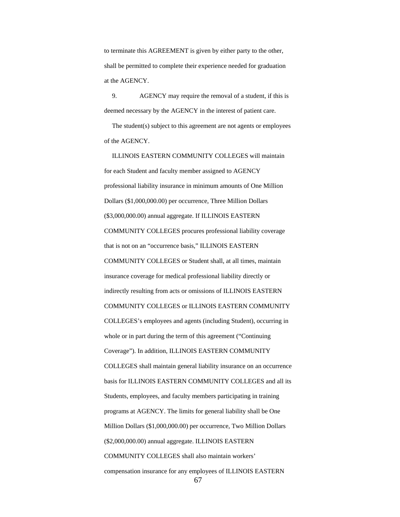to terminate this AGREEMENT is given by either party to the other, shall be permitted to complete their experience needed for graduation at the AGENCY.

 9. AGENCY may require the removal of a student, if this is deemed necessary by the AGENCY in the interest of patient care.

 The student(s) subject to this agreement are not agents or employees of the AGENCY.

 ILLINOIS EASTERN COMMUNITY COLLEGES will maintain for each Student and faculty member assigned to AGENCY professional liability insurance in minimum amounts of One Million Dollars (\$1,000,000.00) per occurrence, Three Million Dollars (\$3,000,000.00) annual aggregate. If ILLINOIS EASTERN COMMUNITY COLLEGES procures professional liability coverage that is not on an "occurrence basis," ILLINOIS EASTERN COMMUNITY COLLEGES or Student shall, at all times, maintain insurance coverage for medical professional liability directly or indirectly resulting from acts or omissions of ILLINOIS EASTERN COMMUNITY COLLEGES or ILLINOIS EASTERN COMMUNITY COLLEGES's employees and agents (including Student), occurring in whole or in part during the term of this agreement ("Continuing Coverage"). In addition, ILLINOIS EASTERN COMMUNITY COLLEGES shall maintain general liability insurance on an occurrence basis for ILLINOIS EASTERN COMMUNITY COLLEGES and all its Students, employees, and faculty members participating in training programs at AGENCY. The limits for general liability shall be One Million Dollars (\$1,000,000.00) per occurrence, Two Million Dollars (\$2,000,000.00) annual aggregate. ILLINOIS EASTERN COMMUNITY COLLEGES shall also maintain workers' compensation insurance for any employees of ILLINOIS EASTERN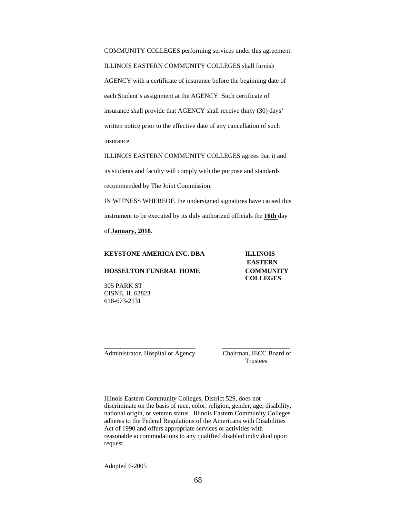COMMUNITY COLLEGES performing services under this agreement. ILLINOIS EASTERN COMMUNITY COLLEGES shall furnish AGENCY with a certificate of insurance before the beginning date of each Student's assignment at the AGENCY. Such certificate of insurance shall provide that AGENCY shall receive thirty (30) days' written notice prior to the effective date of any cancellation of such insurance.

ILLINOIS EASTERN COMMUNITY COLLEGES agrees that it and its students and faculty will comply with the purpose and standards recommended by The Joint Commission.

IN WITNESS WHEREOF, the undersigned signatures have caused this instrument to be executed by its duly authorized officials the **16th** day

of **January, 2018**.

| <b>KEYSTONE AMERICA INC. DBA</b>                                                                                                                                                                                                                                                                                                                                                       | <b>ILLINOIS</b>  |
|----------------------------------------------------------------------------------------------------------------------------------------------------------------------------------------------------------------------------------------------------------------------------------------------------------------------------------------------------------------------------------------|------------------|
|                                                                                                                                                                                                                                                                                                                                                                                        | <b>EASTERN</b>   |
| <b>HOSSELTON FUNERAL HOME</b>                                                                                                                                                                                                                                                                                                                                                          | <b>COMMUNITY</b> |
|                                                                                                                                                                                                                                                                                                                                                                                        | <b>COLLEGES</b>  |
| $\Delta \Delta F$ D $\Delta$ D $\overline{I}$ $\overline{I}$ $\overline{I}$ $\overline{I}$ $\overline{I}$ $\overline{I}$ $\overline{I}$ $\overline{I}$ $\overline{I}$ $\overline{I}$ $\overline{I}$ $\overline{I}$ $\overline{I}$ $\overline{I}$ $\overline{I}$ $\overline{I}$ $\overline{I}$ $\overline{I}$ $\overline{I}$ $\overline{I}$ $\overline{I}$ $\overline{I}$ $\overline{I$ |                  |

305 PARK ST CISNE, IL 62823 618-673-2131

Administrator, Hospital or Agency Chairman, IECC Board of

**Trustees** 

Illinois Eastern Community Colleges, District 529, does not discriminate on the basis of race, color, religion, gender, age, disability, national origin, or veteran status. Illinois Eastern Community Colleges adheres to the Federal Regulations of the Americans with Disabilities Act of 1990 and offers appropriate services or activities with reasonable accommodations to any qualified disabled individual upon request.

\_\_\_\_\_\_\_\_\_\_\_\_\_\_\_\_\_\_\_\_\_\_\_\_\_\_\_\_ \_\_\_\_\_\_\_\_\_\_\_\_\_\_\_\_\_\_\_\_\_

Adopted 6-2005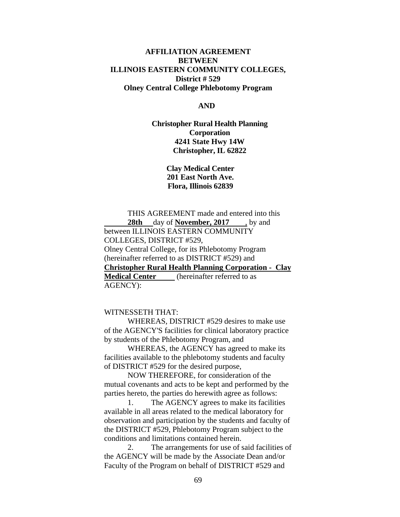# **AFFILIATION AGREEMENT BETWEEN ILLINOIS EASTERN COMMUNITY COLLEGES, District # 529 Olney Central College Phlebotomy Program**

#### **AND**

**Christopher Rural Health Planning Corporation 4241 State Hwy 14W Christopher, IL 62822** 

> **Clay Medical Center 201 East North Ave. Flora, Illinois 62839**

 THIS AGREEMENT made and entered into this  **28th** day of **November, 2017** , by and between ILLINOIS EASTERN COMMUNITY COLLEGES, DISTRICT #529, Olney Central College, for its Phlebotomy Program (hereinafter referred to as DISTRICT #529) and **Christopher Rural Health Planning Corporation - Clay Medical Center** (hereinafter referred to as AGENCY):

## WITNESSETH THAT:

 WHEREAS, DISTRICT #529 desires to make use of the AGENCY'S facilities for clinical laboratory practice by students of the Phlebotomy Program, and

 WHEREAS, the AGENCY has agreed to make its facilities available to the phlebotomy students and faculty of DISTRICT #529 for the desired purpose,

 NOW THEREFORE, for consideration of the mutual covenants and acts to be kept and performed by the parties hereto, the parties do herewith agree as follows:

 1. The AGENCY agrees to make its facilities available in all areas related to the medical laboratory for observation and participation by the students and faculty of the DISTRICT #529, Phlebotomy Program subject to the conditions and limitations contained herein.

 2. The arrangements for use of said facilities of the AGENCY will be made by the Associate Dean and/or Faculty of the Program on behalf of DISTRICT #529 and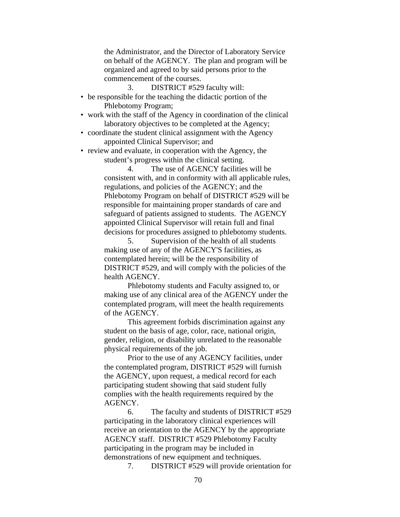the Administrator, and the Director of Laboratory Service on behalf of the AGENCY. The plan and program will be organized and agreed to by said persons prior to the commencement of the courses.

3. DISTRICT #529 faculty will:

- be responsible for the teaching the didactic portion of the Phlebotomy Program;
- work with the staff of the Agency in coordination of the clinical laboratory objectives to be completed at the Agency;
- coordinate the student clinical assignment with the Agency appointed Clinical Supervisor; and
- review and evaluate, in cooperation with the Agency, the student's progress within the clinical setting.

 4. The use of AGENCY facilities will be consistent with, and in conformity with all applicable rules, regulations, and policies of the AGENCY; and the Phlebotomy Program on behalf of DISTRICT #529 will be responsible for maintaining proper standards of care and safeguard of patients assigned to students. The AGENCY appointed Clinical Supervisor will retain full and final decisions for procedures assigned to phlebotomy students.

 5. Supervision of the health of all students making use of any of the AGENCY'S facilities, as contemplated herein; will be the responsibility of DISTRICT #529, and will comply with the policies of the health AGENCY.

 Phlebotomy students and Faculty assigned to, or making use of any clinical area of the AGENCY under the contemplated program, will meet the health requirements of the AGENCY.

 This agreement forbids discrimination against any student on the basis of age, color, race, national origin, gender, religion, or disability unrelated to the reasonable physical requirements of the job.

 Prior to the use of any AGENCY facilities, under the contemplated program, DISTRICT #529 will furnish the AGENCY, upon request, a medical record for each participating student showing that said student fully complies with the health requirements required by the AGENCY.

 6. The faculty and students of DISTRICT #529 participating in the laboratory clinical experiences will receive an orientation to the AGENCY by the appropriate AGENCY staff. DISTRICT #529 Phlebotomy Faculty participating in the program may be included in demonstrations of new equipment and techniques.

7. DISTRICT #529 will provide orientation for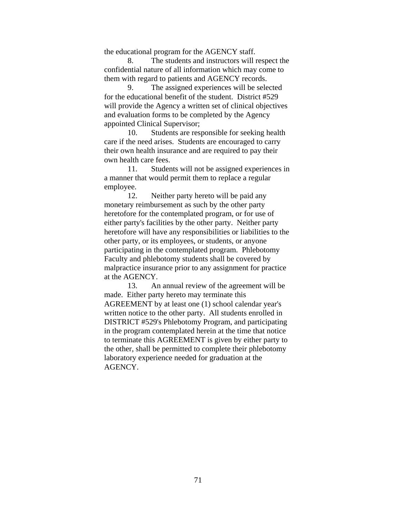the educational program for the AGENCY staff.

 8. The students and instructors will respect the confidential nature of all information which may come to them with regard to patients and AGENCY records.

 9. The assigned experiences will be selected for the educational benefit of the student. District #529 will provide the Agency a written set of clinical objectives and evaluation forms to be completed by the Agency appointed Clinical Supervisor;

 10. Students are responsible for seeking health care if the need arises. Students are encouraged to carry their own health insurance and are required to pay their own health care fees.

 11. Students will not be assigned experiences in a manner that would permit them to replace a regular employee.

 12. Neither party hereto will be paid any monetary reimbursement as such by the other party heretofore for the contemplated program, or for use of either party's facilities by the other party. Neither party heretofore will have any responsibilities or liabilities to the other party, or its employees, or students, or anyone participating in the contemplated program. Phlebotomy Faculty and phlebotomy students shall be covered by malpractice insurance prior to any assignment for practice at the AGENCY.

 13. An annual review of the agreement will be made. Either party hereto may terminate this AGREEMENT by at least one (1) school calendar year's written notice to the other party. All students enrolled in DISTRICT #529's Phlebotomy Program, and participating in the program contemplated herein at the time that notice to terminate this AGREEMENT is given by either party to the other, shall be permitted to complete their phlebotomy laboratory experience needed for graduation at the AGENCY.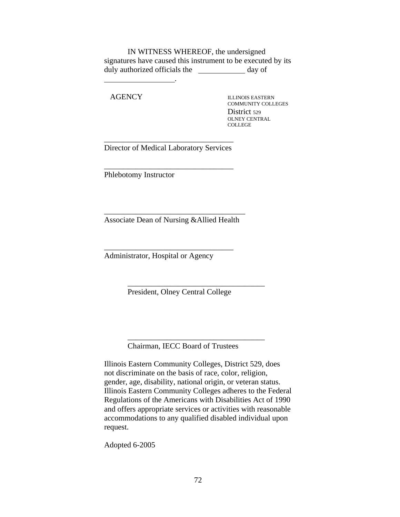IN WITNESS WHEREOF, the undersigned signatures have caused this instrument to be executed by its duly authorized officials the \_\_\_\_\_\_\_\_\_\_\_\_\_ day of

AGENCY ILLINOIS EASTERN

.

COMMUNITY COLLEGES District 529 OLNEY CENTRAL COLLEGE

\_\_\_\_\_\_\_\_\_\_\_\_\_\_\_\_\_\_\_\_\_\_\_\_\_\_\_\_\_\_\_\_\_ Director of Medical Laboratory Services

\_\_\_\_\_\_\_\_\_\_\_\_\_\_\_\_\_\_\_\_\_\_\_\_\_\_\_\_\_\_\_\_\_

Phlebotomy Instructor

\_\_\_\_\_\_\_\_\_\_\_\_\_\_\_\_\_\_\_\_\_\_\_\_\_\_\_\_\_\_\_\_\_\_\_\_ Associate Dean of Nursing &Allied Health

\_\_\_\_\_\_\_\_\_\_\_\_\_\_\_\_\_\_\_\_\_\_\_\_\_\_\_\_\_\_\_\_\_

Administrator, Hospital or Agency

President, Olney Central College

 $\overline{\phantom{a}}$  ,  $\overline{\phantom{a}}$  ,  $\overline{\phantom{a}}$  ,  $\overline{\phantom{a}}$  ,  $\overline{\phantom{a}}$  ,  $\overline{\phantom{a}}$  ,  $\overline{\phantom{a}}$  ,  $\overline{\phantom{a}}$  ,  $\overline{\phantom{a}}$  ,  $\overline{\phantom{a}}$  ,  $\overline{\phantom{a}}$  ,  $\overline{\phantom{a}}$  ,  $\overline{\phantom{a}}$  ,  $\overline{\phantom{a}}$  ,  $\overline{\phantom{a}}$  ,  $\overline{\phantom{a}}$ 

 $\overline{\phantom{a}}$  ,  $\overline{\phantom{a}}$  ,  $\overline{\phantom{a}}$  ,  $\overline{\phantom{a}}$  ,  $\overline{\phantom{a}}$  ,  $\overline{\phantom{a}}$  ,  $\overline{\phantom{a}}$  ,  $\overline{\phantom{a}}$  ,  $\overline{\phantom{a}}$  ,  $\overline{\phantom{a}}$  ,  $\overline{\phantom{a}}$  ,  $\overline{\phantom{a}}$  ,  $\overline{\phantom{a}}$  ,  $\overline{\phantom{a}}$  ,  $\overline{\phantom{a}}$  ,  $\overline{\phantom{a}}$ Chairman, IECC Board of Trustees

Illinois Eastern Community Colleges, District 529, does not discriminate on the basis of race, color, religion, gender, age, disability, national origin, or veteran status. Illinois Eastern Community Colleges adheres to the Federal Regulations of the Americans with Disabilities Act of 1990 and offers appropriate services or activities with reasonable accommodations to any qualified disabled individual upon request.

Adopted 6-2005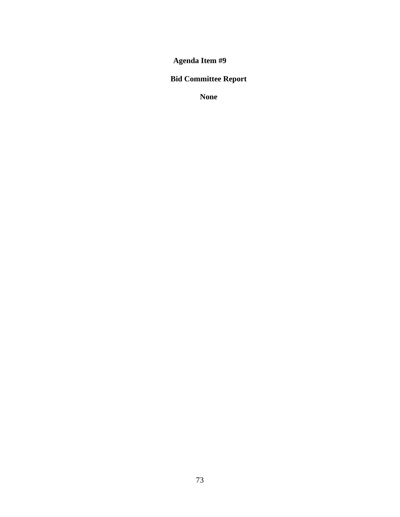# **Bid Committee Report**

**None**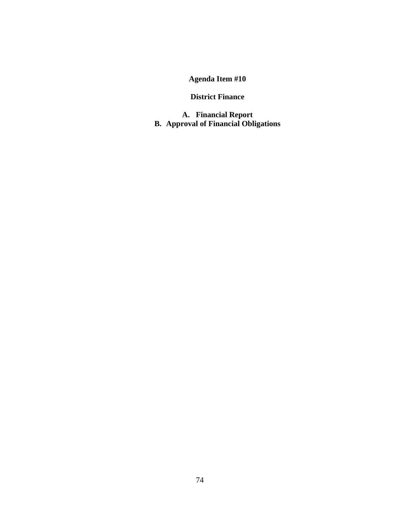### **District Finance**

**A. Financial Report B. Approval of Financial Obligations**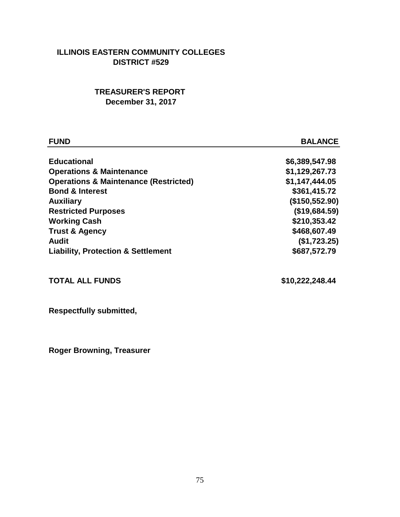### **ILLINOIS EASTERN COMMUNITY COLLEGES DISTRICT #529**

## **TREASURER'S REPORT December 31, 2017**

| <b>FUND</b>                                      | <b>BALANCE</b> |
|--------------------------------------------------|----------------|
| <b>Educational</b>                               | \$6,389,547.98 |
| <b>Operations &amp; Maintenance</b>              | \$1,129,267.73 |
| <b>Operations &amp; Maintenance (Restricted)</b> | \$1,147,444.05 |
| <b>Bond &amp; Interest</b>                       | \$361,415.72   |
| <b>Auxiliary</b>                                 | (\$150,552.90) |
| <b>Restricted Purposes</b>                       | (\$19,684.59)  |
| <b>Working Cash</b>                              | \$210,353.42   |
| <b>Trust &amp; Agency</b>                        | \$468,607.49   |
| <b>Audit</b>                                     | (\$1,723.25)   |
| <b>Liability, Protection &amp; Settlement</b>    | \$687,572.79   |
|                                                  |                |
|                                                  |                |

# **TOTAL ALL FUNDS \$10,222,248.44**

**Respectfully submitted,**

**Roger Browning, Treasurer**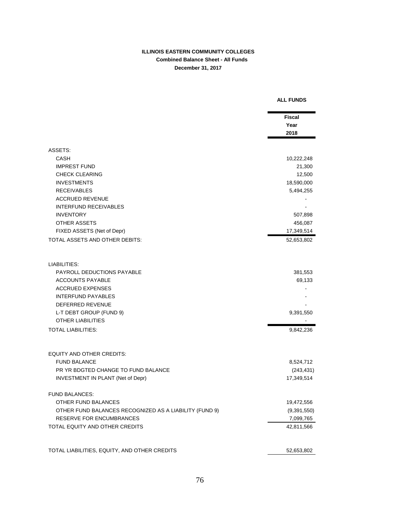#### **ILLINOIS EASTERN COMMUNITY COLLEGES Combined Balance Sheet - All Funds December 31, 2017**

|                                                        | <b>Fiscal</b> |
|--------------------------------------------------------|---------------|
|                                                        | Year          |
|                                                        | 2018          |
| ASSETS:                                                |               |
| CASH                                                   | 10,222,248    |
| <b>IMPREST FUND</b>                                    | 21,300        |
| <b>CHECK CLEARING</b>                                  | 12,500        |
| <b>INVESTMENTS</b>                                     | 18,590,000    |
| <b>RECEIVABLES</b>                                     | 5,494,255     |
| <b>ACCRUED REVENUE</b>                                 |               |
| <b>INTERFUND RECEIVABLES</b>                           |               |
| <b>INVENTORY</b>                                       | 507,898       |
| OTHER ASSETS                                           | 456,087       |
| FIXED ASSETS (Net of Depr)                             | 17,349,514    |
| TOTAL ASSETS AND OTHER DEBITS:                         | 52,653,802    |
| LIABILITIES:                                           |               |
| PAYROLL DEDUCTIONS PAYABLE                             | 381,553       |
| <b>ACCOUNTS PAYABLE</b>                                | 69,133        |
| <b>ACCRUED EXPENSES</b>                                |               |
| <b>INTERFUND PAYABLES</b>                              |               |
| DEFERRED REVENUE                                       |               |
| L-T DEBT GROUP (FUND 9)                                | 9,391,550     |
| <b>OTHER LIABILITIES</b>                               |               |
| TOTAL LIABILITIES:                                     | 9,842,236     |
| <b>EQUITY AND OTHER CREDITS:</b>                       |               |
| <b>FUND BALANCE</b>                                    | 8,524,712     |
| PR YR BDGTED CHANGE TO FUND BALANCE                    | (243, 431)    |
| <b>INVESTMENT IN PLANT (Net of Depr)</b>               | 17,349,514    |
| <b>FUND BALANCES:</b>                                  |               |
| OTHER FUND BALANCES                                    | 19,472,556    |
| OTHER FUND BALANCES RECOGNIZED AS A LIABILITY (FUND 9) | (9,391,550)   |
| <b>RESERVE FOR ENCUMBRANCES</b>                        | 7,099,765     |
| TOTAL EQUITY AND OTHER CREDITS                         | 42,811,566    |
| TOTAL LIABILITIES, EQUITY, AND OTHER CREDITS           | 52,653,802    |

#### **ALL FUNDS**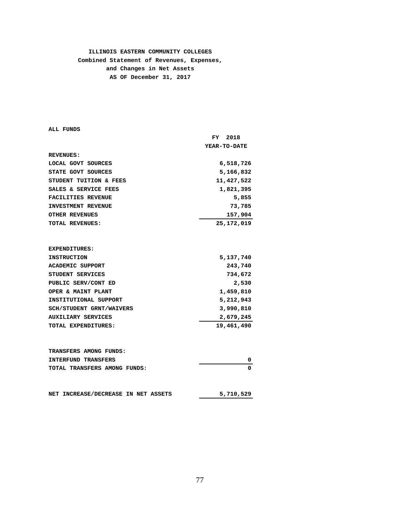#### **ILLINOIS EASTERN COMMUNITY COLLEGES Combined Statement of Revenues, Expenses, and Changes in Net Assets AS OF December 31, 2017**

**ALL FUNDS**

|                                 | 2018<br>FY.  |
|---------------------------------|--------------|
|                                 | YEAR-TO-DATE |
| <b>REVENUES:</b>                |              |
| LOCAL GOVT SOURCES              | 6,518,726    |
| STATE GOVT SOURCES              | 5,166,832    |
| STUDENT TUITION & FEES          | 11,427,522   |
| SALES & SERVICE FEES            | 1,821,395    |
| <b>FACILITIES REVENUE</b>       | 5,855        |
| <b>INVESTMENT REVENUE</b>       | 73,785       |
| <b>OTHER REVENUES</b>           | 157,904      |
| TOTAL REVENUES:                 | 25, 172, 019 |
|                                 |              |
|                                 |              |
| <b>EXPENDITURES:</b>            |              |
| <b>INSTRUCTION</b>              | 5,137,740    |
| <b>ACADEMIC SUPPORT</b>         | 243,740      |
| STUDENT SERVICES                | 734,672      |
| PUBLIC SERV/CONT ED             | 2,530        |
| OPER & MAINT PLANT              | 1,459,810    |
| INSTITUTIONAL SUPPORT           | 5,212,943    |
| <b>SCH/STUDENT GRNT/WAIVERS</b> | 3,990,810    |
| <b>AUXILIARY SERVICES</b>       | 2,679,245    |
| <b>TOTAL EXPENDITURES:</b>      | 19,461,490   |
|                                 |              |
|                                 |              |
| TRANSFERS AMONG FUNDS:          |              |
| <b>INTERFUND TRANSFERS</b>      | 0            |
| TOTAL TRANSFERS AMONG FUNDS:    | 0            |

| NET INCREASE/DECREASE IN NET ASSETS |  | 5,710,529 |  |
|-------------------------------------|--|-----------|--|
|                                     |  |           |  |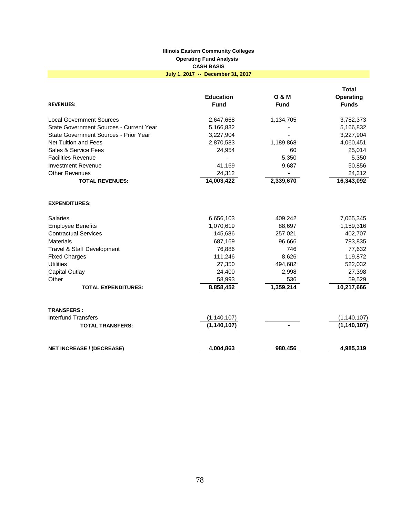#### **Illinois Eastern Community Colleges Operating Fund Analysis CASH BASIS July 1, 2017 -- December 31, 2017**

| <b>REVENUES:</b>                        | <b>Education</b><br><b>Fund</b> | <b>O &amp; M</b><br><b>Fund</b> | <b>Total</b><br>Operating<br><b>Funds</b> |
|-----------------------------------------|---------------------------------|---------------------------------|-------------------------------------------|
| <b>Local Government Sources</b>         | 2,647,668                       | 1,134,705                       | 3,782,373                                 |
| State Government Sources - Current Year | 5,166,832                       |                                 | 5,166,832                                 |
| State Government Sources - Prior Year   | 3,227,904                       |                                 | 3,227,904                                 |
| Net Tuition and Fees                    | 2,870,583                       | 1,189,868                       | 4,060,451                                 |
| Sales & Service Fees                    | 24,954                          | 60                              | 25,014                                    |
| <b>Facilities Revenue</b>               |                                 | 5,350                           | 5,350                                     |
| <b>Investment Revenue</b>               | 41,169                          | 9,687                           | 50,856                                    |
| <b>Other Revenues</b>                   | 24,312                          |                                 | 24,312                                    |
| <b>TOTAL REVENUES:</b>                  | 14,003,422                      | 2,339,670                       | 16,343,092                                |
| <b>EXPENDITURES:</b>                    |                                 |                                 |                                           |
| <b>Salaries</b>                         | 6,656,103                       | 409,242                         | 7,065,345                                 |
| <b>Employee Benefits</b>                | 1,070,619                       | 88,697                          | 1,159,316                                 |
| <b>Contractual Services</b>             | 145,686                         | 257,021                         | 402,707                                   |
| <b>Materials</b>                        | 687,169                         | 96,666                          | 783,835                                   |
| <b>Travel &amp; Staff Development</b>   | 76,886                          | 746                             | 77,632                                    |
| <b>Fixed Charges</b>                    | 111,246                         | 8,626                           | 119,872                                   |
| <b>Utilities</b>                        | 27,350                          | 494,682                         | 522,032                                   |
| <b>Capital Outlay</b>                   | 24,400                          | 2,998                           | 27,398                                    |
| Other                                   | 58,993                          | 536                             | 59,529                                    |
| <b>TOTAL EXPENDITURES:</b>              | 8,858,452                       | 1,359,214                       | 10,217,666                                |
| <b>TRANSFERS:</b>                       |                                 |                                 |                                           |
| <b>Interfund Transfers</b>              | (1, 140, 107)                   |                                 | (1, 140, 107)                             |
| <b>TOTAL TRANSFERS:</b>                 | (1, 140, 107)                   |                                 | (1, 140, 107)                             |
| <b>NET INCREASE / (DECREASE)</b>        | 4,004,863                       | 980,456                         | 4,985,319                                 |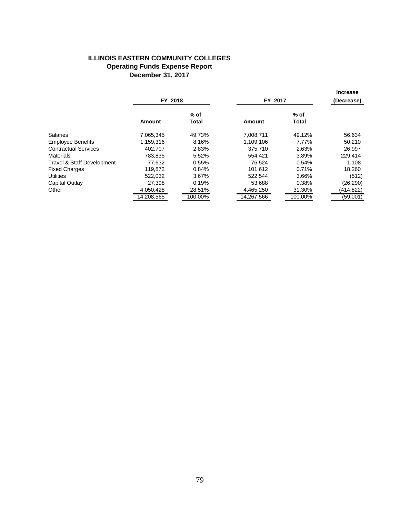#### **ILLINOIS EASTERN COMMUNITY COLLEGES Operating Funds Expense Report December 31, 2017**

|                                       | FY 2018       |                        | FY 2017       |                        | <b>Increase</b><br>(Decrease) |  |
|---------------------------------------|---------------|------------------------|---------------|------------------------|-------------------------------|--|
|                                       | <b>Amount</b> | $%$ of<br><b>Total</b> | <b>Amount</b> | $%$ of<br><b>Total</b> |                               |  |
| <b>Salaries</b>                       | 7,065,345     | 49.73%                 | 7,008,711     | 49.12%                 | 56,634                        |  |
| <b>Employee Benefits</b>              | 1,159,316     | 8.16%                  | 1,109,106     | 7.77%                  | 50,210                        |  |
| <b>Contractual Services</b>           | 402.707       | 2.83%                  | 375.710       | 2.63%                  | 26.997                        |  |
| <b>Materials</b>                      | 783.835       | 5.52%                  | 554.421       | 3.89%                  | 229,414                       |  |
| <b>Travel &amp; Staff Development</b> | 77,632        | 0.55%                  | 76.524        | 0.54%                  | 1,108                         |  |
| <b>Fixed Charges</b>                  | 119.872       | 0.84%                  | 101.612       | 0.71%                  | 18.260                        |  |
| <b>Utilities</b>                      | 522.032       | 3.67%                  | 522.544       | 3.66%                  | (512)                         |  |
| Capital Outlay                        | 27,398        | 0.19%                  | 53,688        | 0.38%                  | (26,290)                      |  |
| Other                                 | 4,050,428     | 28.51%                 | 4,465,250     | 31.30%                 | (414,822)                     |  |
|                                       | 14,208,565    | 100.00%                | 14.267.566    | 100.00%                | (59,001)                      |  |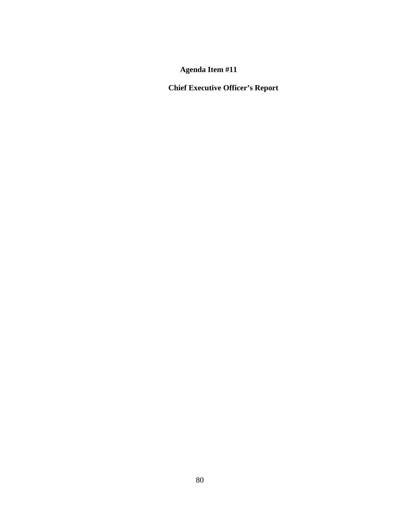**Chief Executive Officer's Report**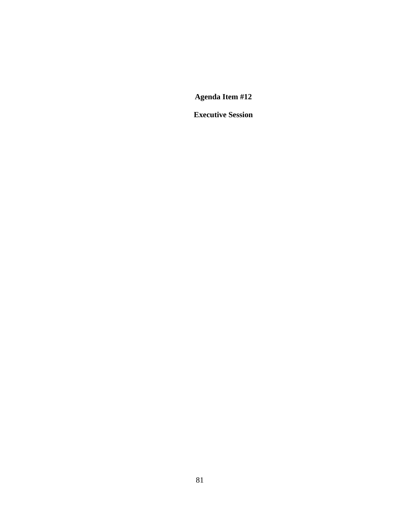**Executive Session**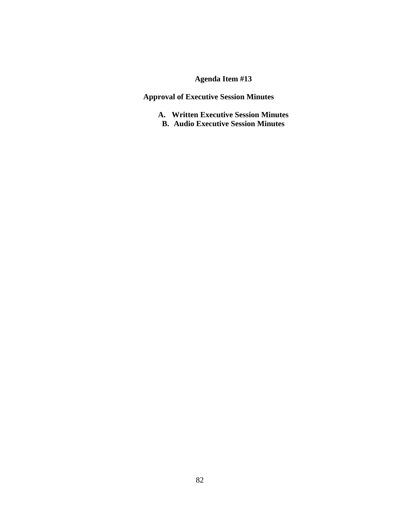**Approval of Executive Session Minutes** 

**A. Written Executive Session Minutes B. Audio Executive Session Minutes**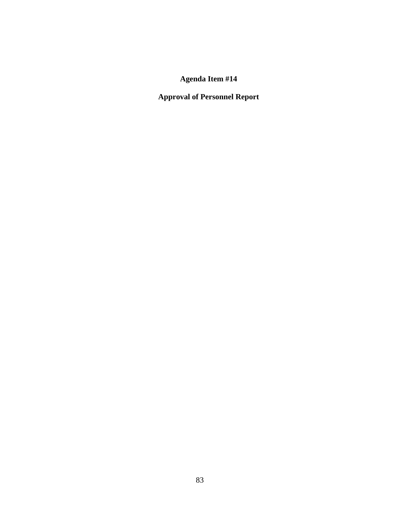**Approval of Personnel Report**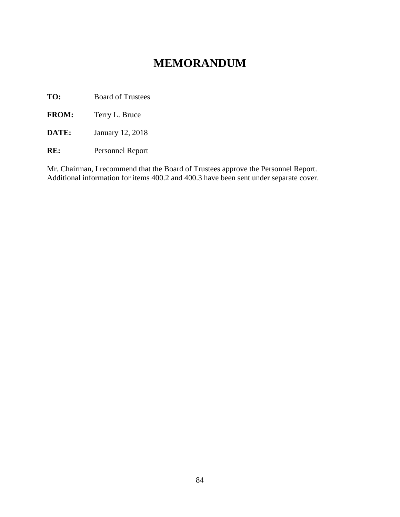# **MEMORANDUM**

**TO:** Board of Trustees

**FROM:** Terry L. Bruce

**DATE:** January 12, 2018

**RE:** Personnel Report

Mr. Chairman, I recommend that the Board of Trustees approve the Personnel Report. Additional information for items 400.2 and 400.3 have been sent under separate cover.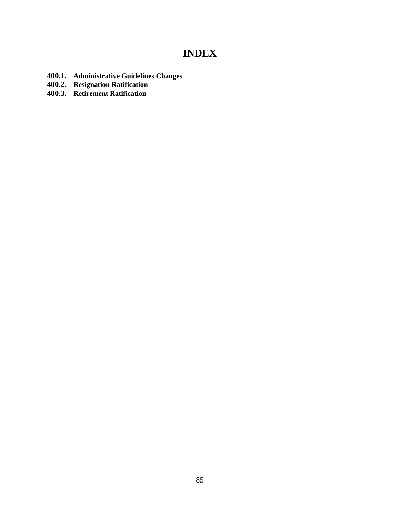# **INDEX**

- **400.1. Administrative Guidelines Changes**
- **400.2. Resignation Ratification**
- **400.3. Retirement Ratification**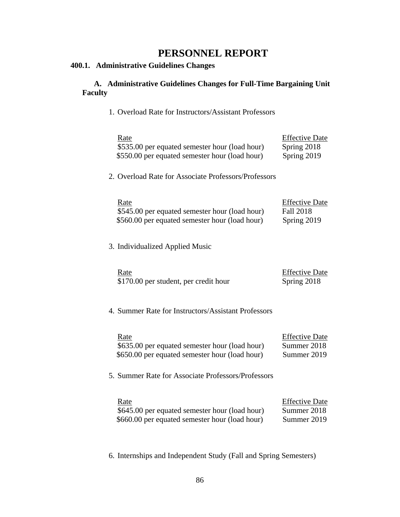# **PERSONNEL REPORT**

### **400.1. Administrative Guidelines Changes**

### **A. Administrative Guidelines Changes for Full-Time Bargaining Unit Faculty**

1. Overload Rate for Instructors/Assistant Professors

| Rate<br>\$535.00 per equated semester hour (load hour)<br>\$550.00 per equated semester hour (load hour) | <b>Effective Date</b><br>Spring 2018<br>Spring 2019      |
|----------------------------------------------------------------------------------------------------------|----------------------------------------------------------|
| 2. Overload Rate for Associate Professors/Professors                                                     |                                                          |
| Rate<br>\$545.00 per equated semester hour (load hour)<br>\$560.00 per equated semester hour (load hour) | <b>Effective Date</b><br><b>Fall 2018</b><br>Spring 2019 |
| 3. Individualized Applied Music                                                                          |                                                          |
| Rate<br>\$170.00 per student, per credit hour                                                            | <b>Effective Date</b><br>Spring 2018                     |
| 4. Summer Rate for Instructors/Assistant Professors                                                      |                                                          |
| Rate<br>\$635.00 per equated semester hour (load hour)<br>\$650.00 per equated semester hour (load hour) | <b>Effective Date</b><br>Summer 2018<br>Summer 2019      |
| 5. Summer Rate for Associate Professors/Professors                                                       |                                                          |
| Rate<br>\$645.00 per equated semester hour (load hour)<br>\$660.00 per equated semester hour (load hour) | <b>Effective Date</b><br>Summer 2018<br>Summer 2019      |

6. Internships and Independent Study (Fall and Spring Semesters)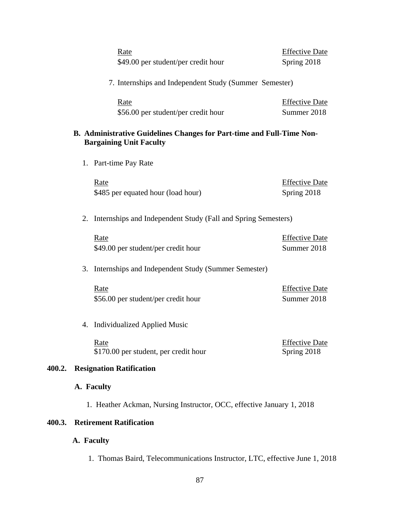|        |  | Rate<br>\$49.00 per student/per credit hour                                                             | <b>Effective Date</b><br>Spring 2018 |
|--------|--|---------------------------------------------------------------------------------------------------------|--------------------------------------|
|        |  | 7. Internships and Independent Study (Summer Semester)                                                  |                                      |
|        |  | <u>Rate</u><br>\$56.00 per student/per credit hour                                                      | <b>Effective Date</b><br>Summer 2018 |
|        |  | B. Administrative Guidelines Changes for Part-time and Full-Time Non-<br><b>Bargaining Unit Faculty</b> |                                      |
|        |  | 1. Part-time Pay Rate                                                                                   |                                      |
|        |  | Rate<br>\$485 per equated hour (load hour)                                                              | <b>Effective Date</b><br>Spring 2018 |
|        |  | 2. Internships and Independent Study (Fall and Spring Semesters)                                        |                                      |
|        |  | Rate<br>\$49.00 per student/per credit hour                                                             | <b>Effective Date</b><br>Summer 2018 |
|        |  | 3. Internships and Independent Study (Summer Semester)                                                  |                                      |
|        |  | Rate<br>\$56.00 per student/per credit hour                                                             | <b>Effective Date</b><br>Summer 2018 |
|        |  | 4. Individualized Applied Music                                                                         |                                      |
|        |  | Rate<br>\$170.00 per student, per credit hour                                                           | <b>Effective Date</b><br>Spring 2018 |
| 400.2. |  | <b>Resignation Ratification</b>                                                                         |                                      |
|        |  | A. Faculty                                                                                              |                                      |

1. Heather Ackman, Nursing Instructor, OCC, effective January 1, 2018

## **400.3. Retirement Ratification**

### **A. Faculty**

**400.2.** 

1. Thomas Baird, Telecommunications Instructor, LTC, effective June 1, 2018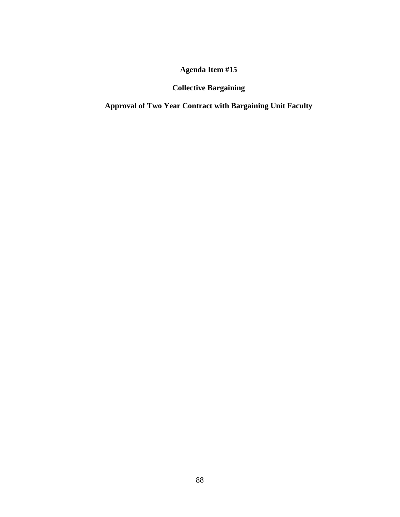# **Collective Bargaining**

**Approval of Two Year Contract with Bargaining Unit Faculty**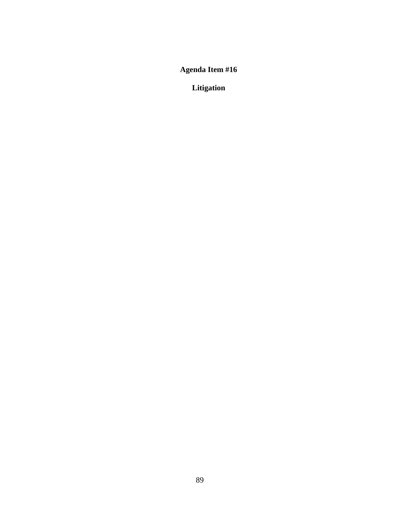**Litigation**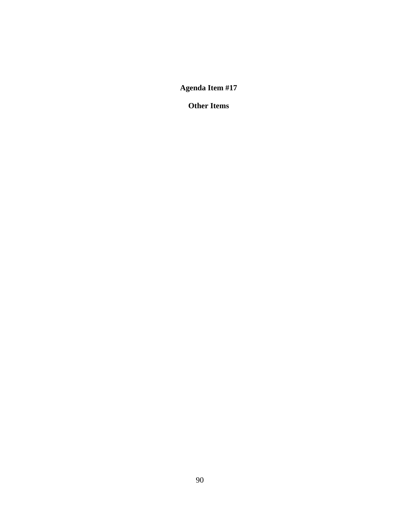**Other Items**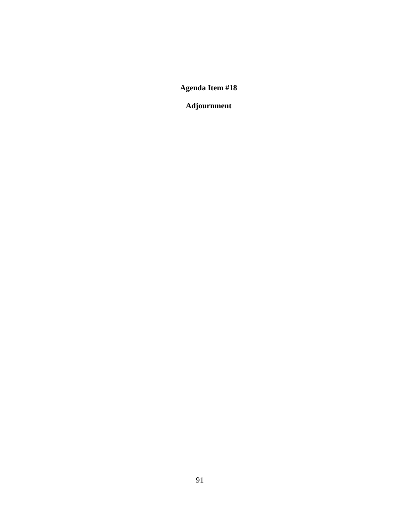**Adjournment**